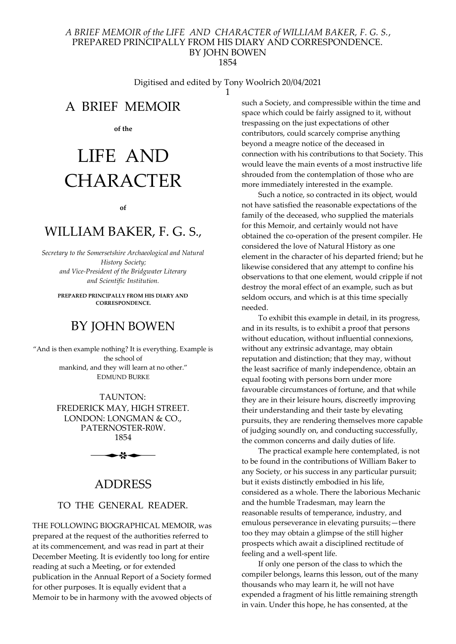Digitised and edited by Tony Woolrich 20/04/2021 1

A BRIEF MEMOIR

of the

# LIFE AND CHARACTER

#### of

# WILLIAM BAKER, F. G. S.,

Secretary to the Somersetshire Archaeological and Natural History Society; and Vice-President of the Bridgwater Literary and Scientific Institution.

> PREPARED PRINCIPALLY FROM HIS DIARY AND **CORRESPONDENCE**

# BY JOHN BOWEN

"And is then example nothing? It is everything. Example is the school of mankind, and they will learn at no other." EDMUND BURKE

> TAUNTON: FREDERICK MAY, HIGH STREET. LONDON: LONGMAN & CO., PATERNOSTER-R0W. 1854



# ADDRESS

### TO THE GENERAL READER.

THE FOLLOWING BIOGRAPHICAL MEMOIR, was prepared at the request of the authorities referred to at its commencement, and was read in part at their December Meeting. It is evidently too long for entire reading at such a Meeting, or for extended publication in the Annual Report of a Society formed for other purposes. It is equally evident that a Memoir to be in harmony with the avowed objects of such a Society, and compressible within the time and space which could be fairly assigned to it, without trespassing on the just expectations of other contributors, could scarcely comprise anything beyond a meagre notice of the deceased in connection with his contributions to that Society. This would leave the main events of a most instructive life shrouded from the contemplation of those who are more immediately interested in the example.

Such a notice, so contracted in its object, would not have satisfied the reasonable expectations of the family of the deceased, who supplied the materials for this Memoir, and certainly would not have obtained the co-operation of the present compiler. He considered the love of Natural History as one element in the character of his departed friend; but he likewise considered that any attempt to confine his observations to that one element, would cripple if not destroy the moral effect of an example, such as but seldom occurs, and which is at this time specially needed.

To exhibit this example in detail, in its progress, and in its results, is to exhibit a proof that persons without education, without influential connexions, without any extrinsic advantage, may obtain reputation and distinction; that they may, without the least sacrifice of manly independence, obtain an equal footing with persons born under more favourable circumstances of fortune, and that while they are in their leisure hours, discreetly improving their understanding and their taste by elevating pursuits, they are rendering themselves more capable of judging soundly on, and conducting successfully, the common concerns and daily duties of life.

The practical example here contemplated, is not to be found in the contributions of William Baker to any Society, or his success in any particular pursuit; but it exists distinctly embodied in his life, considered as a whole. There the laborious Mechanic and the humble Tradesman, may learn the reasonable results of temperance, industry, and emulous perseverance in elevating pursuits;—there too they may obtain a glimpse of the still higher prospects which await a disciplined rectitude of feeling and a well-spent life.

If only one person of the class to which the compiler belongs, learns this lesson, out of the many thousands who may learn it, he will not have expended a fragment of his little remaining strength in vain. Under this hope, he has consented, at the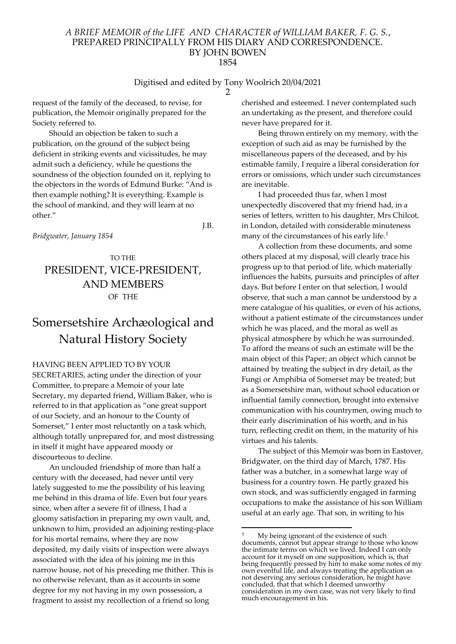#### Digitised and edited by Tony Woolrich 20/04/2021

2

request of the family of the deceased, to revise, for publication, the Memoir originally prepared for the Society referred to.

Should an objection be taken to such a publication, on the ground of the subject being deficient in striking events and vicissitudes, he may admit such a deficiency, while he questions the soundness of the objection founded on it, replying to the objectors in the words of Edmund Burke: "And is then example nothing? It is everything. Example is the school of mankind, and they will learn at no other."

J.B.

Bridgwater, January 1854

# TO THE PRESIDENT, VICE-PRESIDENT, AND MEMBERS OF THE

# Somersetshire Archæological and Natural History Society

HAVING BEEN APPLIED TO BY YOUR SECRETARIES, acting under the direction of your

Committee, to prepare a Memoir of your late Secretary, my departed friend, William Baker, who is referred to in that application as "one great support of our Society, and an honour to the County of Somerset," I enter most reluctantly on a task which, although totally unprepared for, and most distressing in itself it might have appeared moody or discourteous to decline.

An unclouded friendship of more than half a century with the deceased, had never until very lately suggested to me the possibility of his leaving me behind in this drama of life. Even but four years since, when after a severe fit of illness, I had a gloomy satisfaction in preparing my own vault, and, unknown to him, provided an adjoining resting-place for his mortal remains, where they are now deposited, my daily visits of inspection were always associated with the idea of his joining me in this narrow house, not of his preceding me thither. This is no otherwise relevant, than as it accounts in some degree for my not having in my own possession, a fragment to assist my recollection of a friend so long

cherished and esteemed. I never contemplated such an undertaking as the present, and therefore could never have prepared for it.

Being thrown entirely on my memory, with the exception of such aid as may be furnished by the miscellaneous papers of the deceased, and by his estimable family, I require a liberal consideration for errors or omissions, which under such circumstances are inevitable.

I had proceeded thus far, when I most unexpectedly discovered that my friend had, in a series of letters, written to his daughter, Mrs Chilcot, in London, detailed with considerable minuteness many of the circumstances of his early life.<sup>1</sup>

A collection from these documents, and some others placed at my disposal, will clearly trace his progress up to that period of life, which materially influences the habits, pursuits and principles of after days. But before I enter on that selection, I would observe, that such a man cannot be understood by a mere catalogue of his qualities, or even of his actions, without a patient estimate of the circumstances under which he was placed, and the moral as well as physical atmosphere by which he was surrounded. To afford the means of such an estimate will be the main object of this Paper; an object which cannot be attained by treating the subject in dry detail, as the Fungi or Amphibia of Somerset may be treated; but as a Somersetshire man, without school education or influential family connection, brought into extensive communication with his countrymen, owing much to their early discrimination of his worth, and in his turn, reflecting credit on them, in the maturity of his virtues and his talents.

The subject of this Memoir was born in Eastover, Bridgwater, on the third day of March, 1787. His father was a butcher, in a somewhat large way of business for a country town. He partly grazed his own stock, and was sufficiently engaged in farming occupations to make the assistance of his son William useful at an early age. That son, in writing to his

<sup>1</sup> My being ignorant of the existence of such documents, cannot but appear strange to those who know the intimate terms on which we lived. Indeed I can only account for it myself on one supposition, which is, that being frequently pressed by him to make some notes of my own eventful life, and always treating the application as not deserving any serious consideration, he might have concluded, that that which I deemed unworthy consideration in my own case, was not very likely to find much encouragement in his.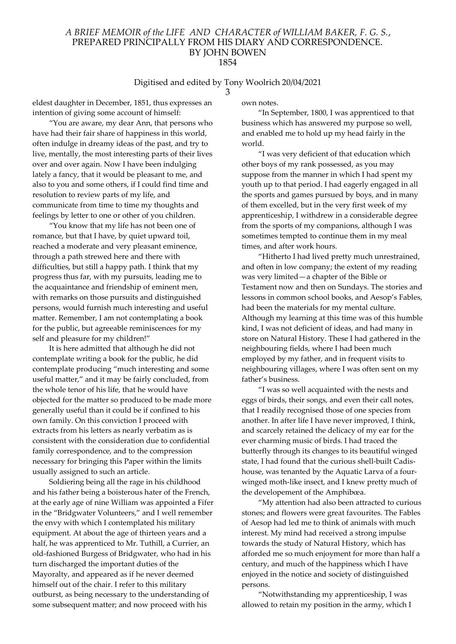### Digitised and edited by Tony Woolrich 20/04/2021

3

eldest daughter in December, 1851, thus expresses an intention of giving some account of himself:

"You are aware, my dear Ann, that persons who have had their fair share of happiness in this world, often indulge in dreamy ideas of the past, and try to live, mentally, the most interesting parts of their lives over and over again. Now I have been indulging lately a fancy, that it would be pleasant to me, and also to you and some others, if I could find time and resolution to review parts of my life, and communicate from time to time my thoughts and feelings by letter to one or other of you children.

"You know that my life has not been one of romance, but that I have, by quiet upward toil, reached a moderate and very pleasant eminence, through a path strewed here and there with difficulties, but still a happy path. I think that my progress thus far, with my pursuits, leading me to the acquaintance and friendship of eminent men, with remarks on those pursuits and distinguished persons, would furnish much interesting and useful matter. Remember, I am not contemplating a book for the public, but agreeable reminiscences for my self and pleasure for my children!"

It is here admitted that although he did not contemplate writing a book for the public, he did contemplate producing "much interesting and some useful matter," and it may be fairly concluded, from the whole tenor of his life, that he would have objected for the matter so produced to be made more generally useful than it could be if confined to his own family. On this conviction I proceed with extracts from his letters as nearly verbatim as is consistent with the consideration due to confidential family correspondence, and to the compression necessary for bringing this Paper within the limits usually assigned to such an article.

Soldiering being all the rage in his childhood and his father being a boisterous hater of the French, at the early age of nine William was appointed a Fifer in the "Bridgwater Volunteers," and I well remember the envy with which I contemplated his military equipment. At about the age of thirteen years and a half, he was apprenticed to Mr. Tuthill, a Currier, an old-fashioned Burgess of Bridgwater, who had in his turn discharged the important duties of the Mayoralty, and appeared as if he never deemed himself out of the chair. I refer to this military outburst, as being necessary to the understanding of some subsequent matter; and now proceed with his

own notes.

"In September, 1800, I was apprenticed to that business which has answered my purpose so well, and enabled me to hold up my head fairly in the world.

"I was very deficient of that education which other boys of my rank possessed, as you may suppose from the manner in which I had spent my youth up to that period. I had eagerly engaged in all the sports and games pursued by boys, and in many of them excelled, but in the very first week of my apprenticeship, I withdrew in a considerable degree from the sports of my companions, although I was sometimes tempted to continue them in my meal times, and after work hours.

"Hitherto I had lived pretty much unrestrained, and often in low company; the extent of my reading was very limited—a chapter of the Bible or Testament now and then on Sundays. The stories and lessons in common school books, and Aesop's Fables, had been the materials for my mental culture. Although my learning at this time was of this humble kind, I was not deficient of ideas, and had many in store on Natural History. These I had gathered in the neighbouring fields, where I had been much employed by my father, and in frequent visits to neighbouring villages, where I was often sent on my father's business.

"I was so well acquainted with the nests and eggs of birds, their songs, and even their call notes, that I readily recognised those of one species from another. In after life I have never improved, I think, and scarcely retained the delicacy of my ear for the ever charming music of birds. I had traced the butterfly through its changes to its beautiful winged state, I had found that the curious shell-built Cadishouse, was tenanted by the Aquatic Larva of a fourwinged moth-like insect, and I knew pretty much of the developement of the Amphibœa.

"My attention had also been attracted to curious stones; and flowers were great favourites. The Fables of Aesop had led me to think of animals with much interest. My mind had received a strong impulse towards the study of Natural History, which has afforded me so much enjoyment for more than half a century, and much of the happiness which I have enjoyed in the notice and society of distinguished persons.

"Notwithstanding my apprenticeship, I was allowed to retain my position in the army, which I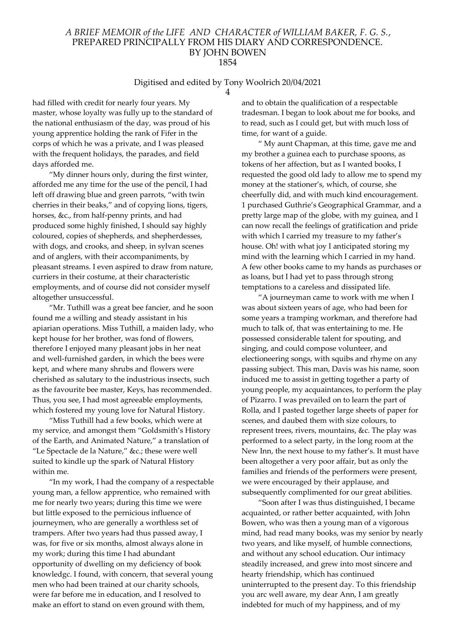#### Digitised and edited by Tony Woolrich 20/04/2021 4

had filled with credit for nearly four years. My master, whose loyalty was fully up to the standard of the national enthusiasm of the day, was proud of his young apprentice holding the rank of Fifer in the corps of which he was a private, and I was pleased with the frequent holidays, the parades, and field days afforded me.

"My dinner hours only, during the first winter, afforded me any time for the use of the pencil, I had left off drawing blue and green parrots, "with twin cherries in their beaks," and of copying lions, tigers, horses, &c., from half-penny prints, and had produced some highly finished, I should say highly coloured, copies of shepherds, and shepherdesses, with dogs, and crooks, and sheep, in sylvan scenes and of anglers, with their accompaniments, by pleasant streams. I even aspired to draw from nature, curriers in their costume, at their characteristic employments, and of course did not consider myself altogether unsuccessful.

"Mr. Tuthill was a great bee fancier, and he soon found me a willing and steady assistant in his apiarian operations. Miss Tuthill, a maiden lady, who kept house for her brother, was fond of flowers, therefore I enjoyed many pleasant jobs in her neat and well-furnished garden, in which the bees were kept, and where many shrubs and flowers were cherished as salutary to the industrious insects, such as the favourite bee master, Keys, has recommended. Thus, you see, I had most agreeable employments, which fostered my young love for Natural History.

"Miss Tuthill had a few books, which were at my service, and amongst them "Goldsmith's History of the Earth, and Animated Nature," a translation of "Le Spectacle de la Nature," &c.; these were well suited to kindle up the spark of Natural History within me.

"In my work, I had the company of a respectable young man, a fellow apprentice, who remained with me for nearly two years; during this time we were but little exposed to the pernicious influence of journeymen, who are generally a worthless set of trampers. After two years had thus passed away, I was, for five or six months, almost always alone in my work; during this time I had abundant opportunity of dwelling on my deficiency of book knowledgc. I found, with concern, that several young men who had been trained at our charity schools, were far before me in education, and I resolved to make an effort to stand on even ground with them,

and to obtain the qualification of a respectable tradesman. I began to look about me for books, and to read, such as I could get, but with much loss of time, for want of a guide.

" My aunt Chapman, at this time, gave me and my brother a guinea each to purchase spoons, as tokens of her affection, but as I wanted books, I requested the good old lady to allow me to spend my money at the stationer's, which, of course, she cheerfully did, and with much kind encouragement. 1 purchased Guthrie's Geographical Grammar, and a pretty large map of the globe, with my guinea, and I can now recall the feelings of gratification and pride with which I carried my treasure to my father's house. Oh! with what joy I anticipated storing my mind with the learning which I carried in my hand. A few other books came to my hands as purchases or as loans, but I had yet to pass through strong temptations to a careless and dissipated life.

"A journeyman came to work with me when I was about sixteen years of age, who had been for some years a tramping workman, and therefore had much to talk of, that was entertaining to me. He possessed considerable talent for spouting, and singing, and could compose volunteer, and electioneering songs, with squibs and rhyme on any passing subject. This man, Davis was his name, soon induced me to assist in getting together a party of young people, my acquaintances, to perform the play of Pizarro. I was prevailed on to learn the part of Rolla, and I pasted together large sheets of paper for scenes, and daubed them with size colours, to represent trees, rivers, mountains, &c. The play was performed to a select party, in the long room at the New Inn, the next house to my father's. It must have been altogether a very poor affair, but as only the families and friends of the performers were present, we were encouraged by their applause, and subsequently complimented for our great abilities.

"Soon after I was thus distinguished, I became acquainted, or rather better acquainted, with John Bowen, who was then a young man of a vigorous mind, had read many books, was my senior by nearly two years, and like myself, of humble connections, and without any school education. Our intimacy steadily increased, and grew into most sincere and hearty friendship, which has continued uninterrupted to the present day. To this friendship you arc well aware, my dear Ann, I am greatly indebted for much of my happiness, and of my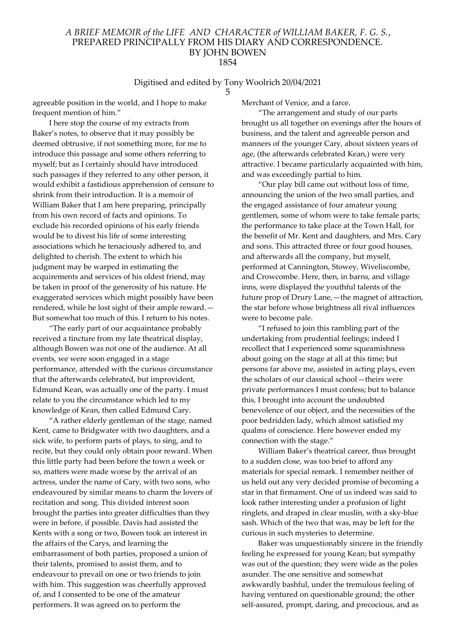#### Digitised and edited by Tony Woolrich 20/04/2021 5

agreeable position in the world, and I hope to make frequent mention of him."

I here stop the course of my extracts from Baker's notes, to observe that it may possibly be deemed obtrusive, if not something more, for me to introduce this passage and some others referring to myself; but as I certainly should have introduced such passages if they referred to any other person, it would exhibit a fastidious apprehension of censure to shrink from their introduction. It is a memoir of William Baker that I am here preparing, principally from his own record of facts and opinions. To exclude his recorded opinions of his early friends would be to divest his life of some interesting associations which he tenaciously adhered to, and delighted to cherish. The extent to which his judgment may be warped in estimating the acquirements and services of his oldest friend, may be taken in proof of the generosity of his nature. He exaggerated services which might possibly have been rendered, while he lost sight of their ample reward.— But somewhat too much of this. I return to his notes.

"The early part of our acquaintance probably received a tincture from my late theatrical display, although Bowen was not one of the audience. At all events, we were soon engaged in a stage performance, attended with the curious circumstance that the afterwards celebrated, but improvident, Edmund Kean, was actually one of the party. I must relate to you the circumstance which led to my knowledge of Kean, then called Edmund Cary.

"A rather elderly gentleman of the stage, named Kent, came to Bridgwater with two daughters, and a sick wife, to perform parts of plays, to sing, and to recite, but they could only obtain poor reward. When this little party had been before the town a week or so, matters were made worse by the arrival of an actress, under the name of Cary, with two sons, who endeavoured by similar means to charm the lovers of recitation and song. This divided interest soon brought the parties into greater difficulties than they were in before, if possible. Davis had assisted the Kents with a song or two, Bowen took an interest in the affairs of the Carys, and learning the embarrassment of both parties, proposed a union of their talents, promised to assist them, and to endeavour to prevail on one or two friends to join with him. This suggestion was cheerfully approved of, and I consented to be one of the amateur performers. It was agreed on to perform the

Merchant of Venice, and a farce.

"The arrangement and study of our parts brought us all together on evenings after the hours of business, and the talent and agreeable person and manners of the younger Cary, about sixteen years of age, (the afterwards celebrated Kean,) were very attractive. I became particularly acquainted with him, and was exceedingly partial to him.

"Our play bill came out without loss of time, announcing the union of the two small parties, and the engaged assistance of four amateur young gentlemen, some of whom were to take female parts; the performance to take place at the Town Hall, for the benefit of Mr. Kent and daughters, and Mrs. Cary and sons. This attracted three or four good houses, and afterwards all the company, but myself, performed at Cannington, Stowey, Wiveliscombe, and Crowcombe. Here, then, in barns, and village inns, were displayed the youthful talents of the future prop of Drury Lane,—the magnet of attraction, the star before whose brightness all rival influences were to become pale.

"I refused to join this rambling part of the undertaking from prudential feelings; indeed I recollect that I experienced some squeamishness about going on the stage at all at this time; but persons far above me, assisted in acting plays, even the scholars of our classical school—theirs were private performances I must confess; but to balance this, I brought into account the undoubted benevolence of our object, and the necessities of the poor bedridden lady, which almost satisfied my qualms of conscience. Here however ended my connection with the stage."

William Baker's theatrical career, thus brought to a sudden close, was too brief to afford any materials for special remark. I remember neither of us held out any very decided promise of becoming a star in that firmament. One of us indeed was said to look rather interesting under a profusion of light ringlets, and draped in clear muslin, with a sky-blue sash. Which of the two that was, may be left for the curious in such mysteries to determine.

Baker was unquestionably sincere in the friendly feeling he expressed for young Kean; but sympathy was out of the question; they were wide as the poles asunder. The one sensitive and somewhat awkwardly bashful, under the tremulous feeling of having ventured on questionable ground; the other self-assured, prompt, daring, and precocious, and as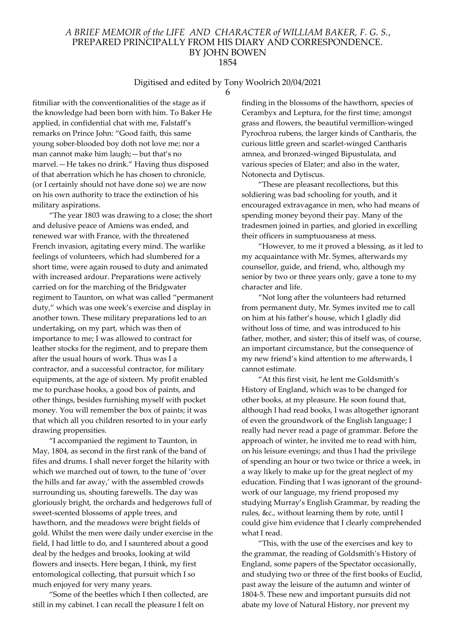#### Digitised and edited by Tony Woolrich 20/04/2021 6

fitmiliar with the conventionalities of the stage as if the knowledge had been born with him. To Baker He applied, in confidential chat with me, Falstaff's remarks on Prince John: "Good faith, this same young sober-blooded boy doth not love me; nor a man cannot make him laugh;—but that's no marvel.—He takes no drink." Having thus disposed of that aberration which he has chosen to chronicle, (or I certainly should not have done so) we are now on his own authority to trace the extinction of his military aspirations.

"The year 1803 was drawing to a close; the short and delusive peace of Amiens was ended, and renewed war with France, with the threatened French invasion, agitating every mind. The warlike feelings of volunteers, which had slumbered for a short time, were again roused to duty and animated with increased ardour. Preparations were actively carried on for the marching of the Bridgwater regiment to Taunton, on what was called "permanent duty," which was one week's exercise and display in another town. These military preparations led to an undertaking, on my part, which was then of importance to me; I was allowed to contract for leather stocks for the regiment, and to prepare them after the usual hours of work. Thus was I a contractor, and a successful contractor, for military equipments, at the age of sixteen. My profit enabled me to purchase hooks, a good box of paints, and other things, besides furnishing myself with pocket money. You will remember the box of paints; it was that which all you children resorted to in your early drawing propensities.

"I accompanied the regiment to Taunton, in May, 1804, as second in the first rank of the band of fifes and drums. I shall never forget the hilarity with which we marched out of town, to the tune of 'over the hills and far away,' with the assembled crowds surrounding us, shouting farewells. The day was gloriously bright, the orchards and hedgerows full of sweet-scented blossoms of apple trees, and hawthorn, and the meadows were bright fields of gold. Whilst the men were daily under exercise in the field, I had little to do, and I sauntered about a good deal by the hedges and brooks, looking at wild flowers and insects. Here began, I think, my first entomological collecting, that pursuit which I so much enjoyed for very many years.

"Some of the beetles which I then collected, are still in my cabinet. I can recall the pleasure I felt on

finding in the blossoms of the hawthorn, species of Cerambyx and Leptura, for the first time; amongst grass and flowers, the beautiful vermillion-winged Pyrochroa rubens, the larger kinds of Cantharis, the curious little green and scarlet-winged Cantharis amnea, and bronzed-winged Bipustulata, and various species of Elater; and also in the water, Notonecta and Dytiscus.

"These are pleasant recollections, but this soldiering was bad schooling for youth, and it encouraged extravagance in men, who had means of spending money beyond their pay. Many of the tradesmen joined in parties, and gloried in excelling their officers in sumptuousness at mess.

"However, to me it proved a blessing, as it led to my acquaintance with Mr. Symes, afterwards my counsellor, guide, and friend, who, although my senior by two or three years only, gave a tone to my character and life.

"Not long after the volunteers had returned from permanent duty, Mr. Symes invited me to call on him at his father's house, which I gladly did without loss of time, and was introduced to his father, mother, and sister; this of itself was, of course, an important circumstance, but the consequence of my new friend's kind attention to me afterwards, I cannot estimate.

"At this first visit, he lent me Goldsmith's History of England, which was to be changed for other books, at my pleasure. He soon found that, although I had read books, I was altogether ignorant of even the groundwork of the English language; I really had never read a page of grammar. Before the approach of winter, he invited me to read with him, on his leisure evenings; and thus I had the privilege of spending an hour or two twice or thrice a week, in a way likely to make up for the great neglect of my education. Finding that I was ignorant of the groundwork of our language, my friend proposed my studying Murray's English Grammar, by reading the rules, &c., without learning them by rote, until I could give him evidence that I clearly comprehended what I read.

"This, with the use of the exercises and key to the grammar, the reading of Goldsmith's History of England, some papers of the Spectator occasionally, and studying two or three of the first books of Euclid, past away the leisure of the autumn and winter of 1804-5. These new and important pursuits did not abate my love of Natural History, nor prevent my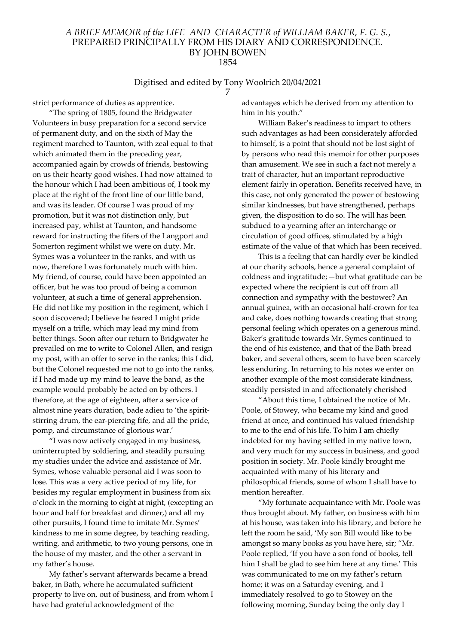#### Digitised and edited by Tony Woolrich 20/04/2021 7

strict performance of duties as apprentice.

"The spring of 1805, found the Bridgwater Volunteers in busy preparation for a second service of permanent duty, and on the sixth of May the regiment marched to Taunton, with zeal equal to that which animated them in the preceding year, accompanied again by crowds of friends, bestowing on us their hearty good wishes. I had now attained to the honour which I had been ambitious of, I took my place at the right of the front line of our little band, and was its leader. Of course I was proud of my promotion, but it was not distinction only, but increased pay, whilst at Taunton, and handsome reward for instructing the fifers of the Langport and Somerton regiment whilst we were on duty. Mr. Symes was a volunteer in the ranks, and with us now, therefore I was fortunately much with him. My friend, of course, could have been appointed an officer, but he was too proud of being a common volunteer, at such a time of general apprehension. He did not like my position in the regiment, which I soon discovered; I believe he feared I might pride myself on a trifle, which may lead my mind from better things. Soon after our return to Bridgwater he prevailed on me to write to Colonel Allen, and resign my post, with an offer to serve in the ranks; this I did, but the Colonel requested me not to go into the ranks, if I had made up my mind to leave the band, as the example would probably be acted on by others. I therefore, at the age of eighteen, after a service of almost nine years duration, bade adieu to 'the spiritstirring drum, the ear-piercing fife, and all the pride, pomp, and circumstance of glorious war.'

"I was now actively engaged in my business, uninterrupted by soldiering, and steadily pursuing my studies under the advice and assistance of Mr. Symes, whose valuable personal aid I was soon to lose. This was a very active period of my life, for besides my regular employment in business from six o'clock in the morning to eight at night, (excepting an hour and half for breakfast and dinner,) and all my other pursuits, I found time to imitate Mr. Symes' kindness to me in some degree, by teaching reading, writing, and arithmetic, to two young persons, one in the house of my master, and the other a servant in my father's house.

My father's servant afterwards became a bread baker, in Bath, where he accumulated sufficient property to live on, out of business, and from whom I have had grateful acknowledgment of the

advantages which he derived from my attention to him in his youth."

William Baker's readiness to impart to others such advantages as had been considerately afforded to himself, is a point that should not be lost sight of by persons who read this memoir for other purposes than amusement. We see in such a fact not merely a trait of character, hut an important reproductive element fairly in operation. Benefits received have, in this case, not only generated the power of bestowing similar kindnesses, but have strengthened, perhaps given, the disposition to do so. The will has been subdued to a yearning after an interchange or circulation of good offices, stimulated by a high estimate of the value of that which has been received.

This is a feeling that can hardly ever be kindled at our charity schools, hence a general complaint of coldness and ingratitude;—but what gratitude can be expected where the recipient is cut off from all connection and sympathy with the bestower? An annual guinea, with an occasional half-crown for tea and cake, does nothing towards creating that strong personal feeling which operates on a generous mind. Baker's gratitude towards Mr. Symes continued to the end of his existence, and that of the Bath bread baker, and several others, seem to have been scarcely less enduring. In returning to his notes we enter on another example of the most considerate kindness, steadily persisted in and affectionately cherished

"About this time, I obtained the notice of Mr. Poole, of Stowey, who became my kind and good friend at once, and continued his valued friendship to me to the end of his life. To him I am chiefly indebted for my having settled in my native town, and very much for my success in business, and good position in society. Mr. Poole kindly brought me acquainted with many of his literary and philosophical friends, some of whom I shall have to mention hereafter.

"My fortunate acquaintance with Mr. Poole was thus brought about. My father, on business with him at his house, was taken into his library, and before he left the room he said, 'My son Bill would like to be amongst so many books as you have here, sir; "Mr. Poole replied, 'If you have a son fond of books, tell him I shall be glad to see him here at any time.' This was communicated to me on my father's return home; it was on a Saturday evening, and I immediately resolved to go to Stowey on the following morning, Sunday being the only day I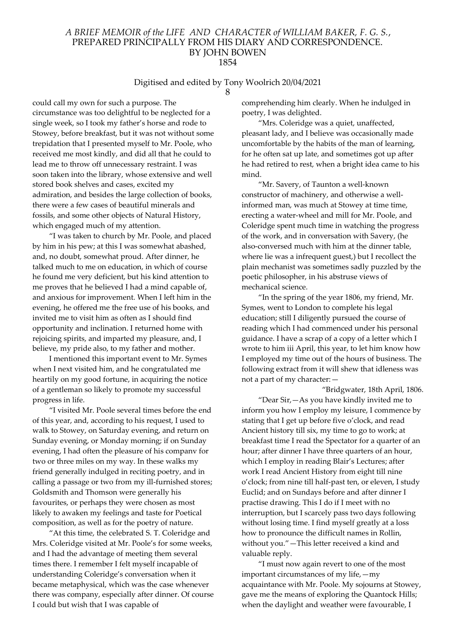#### Digitised and edited by Tony Woolrich 20/04/2021 8

could call my own for such a purpose. The circumstance was too delightful to be neglected for a single week, so I took my father's horse and rode to Stowey, before breakfast, but it was not without some trepidation that I presented myself to Mr. Poole, who received me most kindly, and did all that he could to lead me to throw off unnecessary restraint. I was soon taken into the library, whose extensive and well stored book shelves and cases, excited my admiration, and besides the large collection of books, there were a few cases of beautiful minerals and fossils, and some other objects of Natural History, which engaged much of my attention.

"I was taken to church by Mr. Poole, and placed by him in his pew; at this I was somewhat abashed, and, no doubt, somewhat proud. After dinner, he talked much to me on education, in which of course he found me very deficient, but his kind attention to me proves that he believed I had a mind capable of, and anxious for improvement. When I left him in the evening, he offered me the free use of his books, and invited me to visit him as often as I should find opportunity and inclination. I returned home with rejoicing spirits, and imparted my pleasure, and, I believe, my pride also, to my father and mother.

I mentioned this important event to Mr. Symes when I next visited him, and he congratulated me heartily on my good fortune, in acquiring the notice of a gentleman so likely to promote my successful progress in life.

"I visited Mr. Poole several times before the end of this year, and, according to his request, I used to walk to Stowey, on Saturday evening, and return on Sunday evening, or Monday morning; if on Sunday evening, I had often the pleasure of his companv for two or three miles on my way. In these walks my friend generally indulged in reciting poetry, and in calling a passage or two from my ill-furnished stores; Goldsmith and Thomson were generally his favourites, or perhaps they were chosen as most likely to awaken my feelings and taste for Poetical composition, as well as for the poetry of nature.

"At this time, the celebrated S. T. Coleridge and Mrs. Coleridge visited at Mr. Poole's for some weeks, and I had the advantage of meeting them several times there. I remember I felt myself incapable of understanding Coleridge's conversation when it became metaphysical, which was the case whenever there was company, especially after dinner. Of course I could but wish that I was capable of

comprehending him clearly. When he indulged in poetry, I was delighted.

"Mrs. Coleridge was a quiet, unaffected, pleasant lady, and I believe was occasionally made uncomfortable by the habits of the man of learning, for he often sat up late, and sometimes got up after he had retired to rest, when a bright idea came to his mind.

"Mr. Savery, of Taunton a well-known constructor of machinery, and otherwise a wellinformed man, was much at Stowey at time time, erecting a water-wheel and mill for Mr. Poole, and Coleridge spent much time in watching the progress of the work, and in conversation with Savery, (he also-conversed much with him at the dinner table, where lie was a infrequent guest,) but I recollect the plain mechanist was sometimes sadly puzzled by the poetic philosopher, in his abstruse views of mechanical science.

"In the spring of the year 1806, my friend, Mr. Symes, went to London to complete his legal education; still I diligently pursued the course of reading which I had commenced under his personal guidance. I have a scrap of a copy of a letter which I wrote to him iii April, this year, to let him know how I employed my time out of the hours of business. The following extract from it will shew that idleness was not a part of my character:—

"Bridgwater, 18th April, 1806. "Dear Sir,—As you have kindly invited me to inform you how I employ my leisure, I commence by stating that I get up before five o'clock, and read Ancient history till six, my time to go to work; at breakfast time I read the Spectator for a quarter of an hour; after dinner I have three quarters of an hour, which I employ in reading Blair's Lectures; after work I read Ancient History from eight till nine o'clock; from nine till half-past ten, or eleven, I study Euclid; and on Sundays before and after dinner I practise drawing. This I do if I meet with no interruption, but I scarcely pass two days following without losing time. I find myself greatly at a loss how to pronounce the difficult names in Rollin, without you."—This letter received a kind and valuable reply.

"I must now again revert to one of the most important circumstances of my life,—my acquaintance with Mr. Poole. My sojourns at Stowey, gave me the means of exploring the Quantock Hills; when the daylight and weather were favourable, I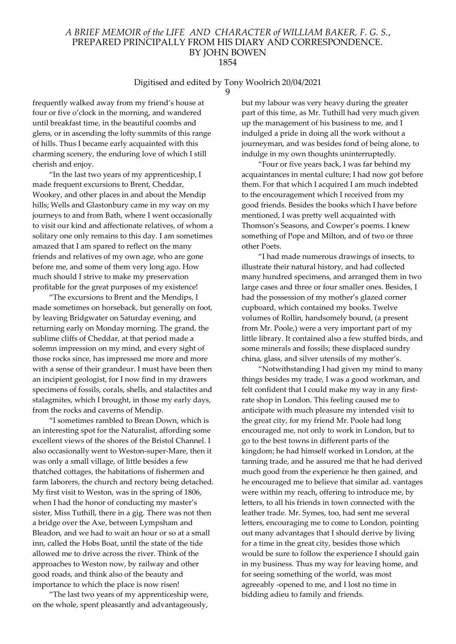# Digitised and edited by Tony Woolrich 20/04/2021

9

frequently walked away from my friend's house at four or five o'clock in the morning, and wandered until breakfast time, in the beautiful coombs and glens, or in ascending the lofty summits of this range of hills. Thus I became early acquainted with this charming scenery, the enduring love of which I still cherish and enjoy.

"In the last two years of my apprenticeship, I made frequent excursions to Brent, Cheddar, Wookey, and other places in and about the Mendip hills; Wells and Glastonbury came in my way on my journeys to and from Bath, where I went occasionally to visit our kind and affectionate relatives, of whom a solitary one only remains to this day. I am sometimes amazed that I am spared to reflect on the many friends and relatives of my own age, who are gone before me, and some of them very long ago. How much should I strive to make my preservation profitable for the great purposes of my existence!

"The excursions to Brent and the Mendips, I made sometimes on horseback, but generally on foot, by leaving Bridgwater on Saturday evening, and returning early on Monday morning. The grand, the sublime cliffs of Cheddar, at that period made a solemn impression on my mind, and every sight of those rocks since, has impressed me more and more with a sense of their grandeur. I must have been then an incipient geologist, for I now find in my drawers specimens of fossils, corals, shells, and stalactites and stalagmites, which I brought, in those my early days, from the rocks and caverns of Mendip.

"I sometimes rambled to Brean Down, which is an interesting spot for the Naturalist, affording some excellent views of the shores of the Bristol Channel. I also occasionally went to Weston-super-Mare, then it was only a small village, of little besides a few thatched cottages, the habitations of fishermen and farm laborers, the church and rectory being detached. My first visit to Weston, was in the spring of 1806, when I had the honor of conducting my master's sister, Miss Tuthill, there in a gig. There was not then a bridge over the Axe, between Lympsham and Bleadon, and we had to wait an hour or so at a small inn, called the Hobs Boat, until the state of the tide allowed me to drive across the river. Think of the approaches to Weston now, by railway and other good roads, and think also of the beauty and importance to which the place is now risen!

"The last two years of my apprenticeship were, on the whole, spent pleasantly and advantageously,

but my labour was very heavy during the greater part of this time, as Mr. Tuthill had very much given up the management of his business to me, and I indulged a pride in doing all the work without a journeyman, and was besides fond of being alone, to indulge in my own thoughts uninterruptedly.

"Four or five years back, I was far behind my acquaintances in mental culture; I had now got before them. For that which I acquired I am much indebted to the encouragement which I received from my good friends. Besides the books which I have before mentioned, I was pretty well acquainted with Thomson's Seasons, and Cowper's poems. I knew something of Pope and Milton, and of two or three other Poets.

"I had made numerous drawings of insects, to illustrate their natural history, and had collected many hundred specimens, and arranged them in two large cases and three or four smaller ones. Besides, I had the possession of my mother's glazed corner cupboard, which contained my books. Twelve volumes of Rollin, handsomely bound, (a present from Mr. Poole,) were a very important part of my little library. It contained also a few stuffed birds, and some minerals and fossils; these displaced sundry china, glass, and silver utensils of my mother's.

"Notwithstanding I had given my mind to many things besides my trade, I was a good workman, and felt confident that I could make my way in any firstrate shop in London. This feeling caused me to anticipate with much pleasure my intended visit to the great city, for my friend Mr. Poole had long encouraged me, not only to work in London, but to go to the best towns in different parts of the kingdom; he had himself worked in London, at the tanning trade, and he assured me that he had derived much good from the experience he then gained, and he encouraged me to believe that similar ad. vantages were within my reach, offering to introduce me, by letters, to all his friends in town connected with the leather trade. Mr. Symes, too, had sent me several letters, encouraging me to come to London, pointing out many advantages that I should derive by living for a time in the great city, besides those which would be sure to follow the experience I should gain in my business. Thus my way for leaving home, and for seeing something of the world, was most agreeably -opened to me, and I lost no time in bidding adieu to family and friends.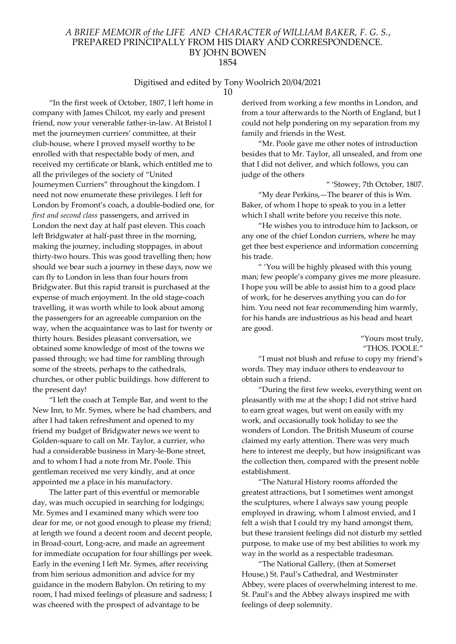#### Digitised and edited by Tony Woolrich 20/04/2021 10

"In the first week of October, 1807, I left home in company with James Chilcot, my early and present friend, now your venerable father-in-law. At Bristol I met the journeymen curriers' committee, at their club-house, where I proved myself worthy to be enrolled with that respectable body of men, and received my certificate or blank, which entitled me to all the privileges of the society of "United Journeymen Curriers" throughout the kingdom. I need not now enumerate these privileges. I left for London by Fromont's coach, a double-bodied one, for first and second class passengers, and arrived in London the next day at half past eleven. This coach left Bridgwater at half-past three in the morning, making the journey, including stoppages, in about thirty-two hours. This was good travelling then; how should we bear such a journey in these days, now we can fly to London in less than four hours from Bridgwater. But this rapid transit is purchased at the expense of much enjoyment. In the old stage-coach travelling, it was worth while to look about among the passengers for an agreeable companion on the way, when the acquaintance was to last for twenty or thirty hours. Besides pleasant conversation, we obtained some knowledge of most of the towns we passed through; we had time for rambling through some of the streets, perhaps to the cathedrals, churches, or other public buildings. how different to the present day!

"I left the coach at Temple Bar, and went to the New Inn, to Mr. Symes, where he had chambers, and after I had taken refreshment and opened to my friend my budget of Bridgwater news we went to Golden-square to call on Mr. Taylor, a currier, who had a considerable business in Mary-le-Bone street, and to whom I had a note from Mr. Poole. This gentleman received me very kindly, and at once appointed me a place in his manufactory.

The latter part of this eventful or memorable day, was much occupied in searching for lodgings; Mr. Symes and I examined many which were too dear for me, or not good enough to please my friend; at length we found a decent room and decent people, in Broad-court, Long-acre, and made an agreement for immediate occupation for four shillings per week. Early in the evening I left Mr. Symes, after receiving from him serious admonition and advice for my guidance in the modern Babylon. On retiring to my room, I had mixed feelings of pleasure and sadness; I was cheered with the prospect of advantage to be

derived from working a few months in London, and from a tour afterwards to the North of England, but I could not help pondering on my separation from my family and friends in the West.

"Mr. Poole gave me other notes of introduction besides that to Mr. Taylor, all unsealed, and from one that I did not deliver, and which follows, you can judge of the others

" 'Stowey, 7th October, 1807.

"My dear Perkins,—The bearer of this is Wm. Baker, of whom I hope to speak to you in a letter which I shall write before you receive this note.

"He wishes you to introduce him to Jackson, or any one of the chief London curriers, where he may get thee best experience and information concerning his trade.

" 'You will be highly pleased with this young man; few people's company gives me more pleasure. I hope you will be able to assist him to a good place of work, for he deserves anything you can do for him. You need not fear recommending him warmly, for his hands are industrious as his head and heart are good.

> "Yours most truly, "THOS. POOLE."

"I must not blush and refuse to copy my friend's words. They may induce others to endeavour to obtain such a friend.

"During the first few weeks, everything went on pleasantly with me at the shop; I did not strive hard to earn great wages, but went on easily with my work, and occasionally took holiday to see the wonders of London. The British Museum of course claimed my early attention. There was very much here to interest me deeply, but how insignificant was the collection then, compared with the present noble establishment.

"The Natural History rooms afforded the greatest attractions, but I sometimes went amongst the sculptures, where I always saw young people employed in drawing, whom I almost envied, and I felt a wish that I could try my hand amongst them, but these transient feelings did not disturb my settled purpose, to make use of my best abilities to work my way in the world as a respectable tradesman.

"The National Gallery, (then at Somerset House,) St. Paul's Cathedral, and Westminster Abbey, were places of overwhelming interest to me. St. Paul's and the Abbey always inspired me with feelings of deep solemnity.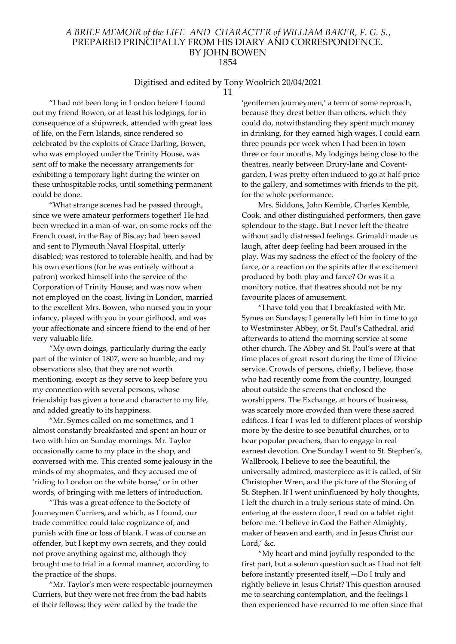# Digitised and edited by Tony Woolrich 20/04/2021

11

"I had not been long in London before I found out my friend Bowen, or at least his lodgings, for in consequence of a shipwreck, attended with great loss of life, on the Fern Islands, since rendered so celebrated bv the exploits of Grace Darling, Bowen, who was employed under the Trinity House, was sent off to make the necessary arrangements for exhibiting a temporary light during the winter on these unhospitable rocks, until something permanent could be done.

"What strange scenes had he passed through, since we were amateur performers together! He had been wrecked in a man-of-war, on some rocks off the French coast, in the Bay of Biscay; had been saved and sent to Plymouth Naval Hospital, utterly disabled; was restored to tolerable health, and had by his own exertions (for he was entirely without a patron) worked himself into the service of the Corporation of Trinity House; and was now when not employed on the coast, living in London, married to the excellent Mrs. Bowen, who nursed you in your infancy, played with you in your girlhood, and was your affectionate and sincere friend to the end of her very valuable life.

"My own doings, particularly during the early part of the winter of 1807, were so humble, and my observations also, that they are not worth mentioning, except as they serve to keep before you my connection with several persons, whose friendship has given a tone and character to my life, and added greatly to its happiness.

"Mr. Symes called on me sometimes, and 1 almost constantly breakfasted and spent an hour or two with him on Sunday mornings. Mr. Taylor occasionally came to my place in the shop, and conversed with me. This created some jealousy in the minds of my shopmates, and they accused me of 'riding to London on the white horse,' or in other words, of bringing with me letters of introduction.

"This was a great offence to the Society of Journeymen Curriers, and which, as I found, our trade committee could take cognizance of, and punish with fine or loss of blank. I was of course an offender, but I kept my own secrets, and they could not prove anything against me, although they brought me to trial in a formal manner, according to the practice of the shops.

"Mr. Taylor's men were respectable journeymen Curriers, but they were not free from the bad habits of their fellows; they were called by the trade the

'gentlemen journeymen,' a term of some reproach, because they drest better than others, which they could do, notwithstanding they spent much money in drinking, for they earned high wages. I could earn three pounds per week when I had been in town three or four months. My lodgings being close to the theatres, nearly between Drury-lane and Coventgarden, I was pretty often induced to go at half-price to the gallery, and sometimes with friends to the pit, for the whole performance.

Mrs. Siddons, John Kemble, Charles Kemble, Cook. and other distinguished performers, then gave splendour to the stage. But I never left the theatre without sadly distressed feelings. Grimaldi made us laugh, after deep feeling had been aroused in the play. Was my sadness the effect of the foolery of the farce, or a reaction on the spirits after the excitement produced by both play and farce? Or was it a monitory notice, that theatres should not be my favourite places of amusement.

"I have told you that I breakfasted with Mr. Symes on Sundays; I generally left him in time to go to Westminster Abbey, or St. Paul's Cathedral, arid afterwards to attend the morning service at some other church. The Abbey and St. Paul's were at that time places of great resort during the time of Divine service. Crowds of persons, chiefly, I believe, those who had recently come from the country, lounged about outside the screens that enclosed the worshippers. The Exchange, at hours of business, was scarcely more crowded than were these sacred edifices. I fear I was led to different places of worship more by the desire to see beautiful churches, or to hear popular preachers, than to engage in real earnest devotion. One Sunday I went to St. Stephen's, Wallbrook, I believe to see the beautiful, the universally admired, masterpiece as it is called, of Sir Christopher Wren, and the picture of the Stoning of St. Stephen. If I went uninfluenced by holy thoughts, I left the church in a truly serious state of mind. On entering at the eastern door, I read on a tablet right before me. 'I believe in God the Father Almighty, maker of heaven and earth, and in Jesus Christ our Lord,' &c.

"My heart and mind joyfully responded to the first part, but a solemn question such as I had not felt before instantly presented itself,—Do I truly and rightly believe in Jesus Christ? This question aroused me to searching contemplation, and the feelings I then experienced have recurred to me often since that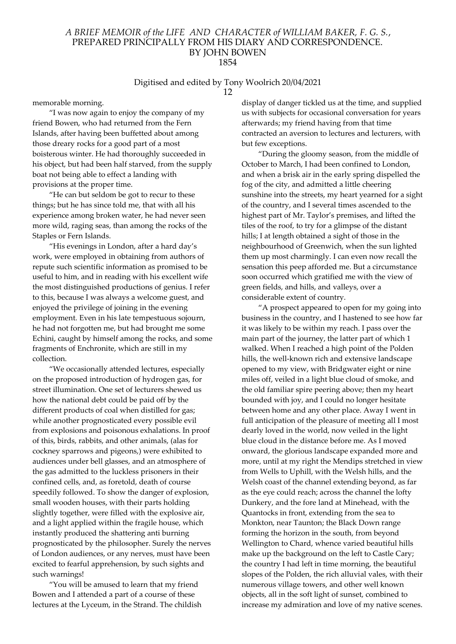#### Digitised and edited by Tony Woolrich 20/04/2021 12

memorable morning.

"I was now again to enjoy the company of my friend Bowen, who had returned from the Fern Islands, after having been buffetted about among those dreary rocks for a good part of a most boisterous winter. He had thoroughly succeeded in his object, but had been half starved, from the supply boat not being able to effect a landing with provisions at the proper time.

"He can but seldom be got to recur to these things; but he has since told me, that with all his experience among broken water, he had never seen more wild, raging seas, than among the rocks of the Staples or Fern Islands.

"His evenings in London, after a hard day's work, were employed in obtaining from authors of repute such scientific information as promised to be useful to him, and in reading with his excellent wife the most distinguished productions of genius. I refer to this, because I was always a welcome guest, and enjoyed the privilege of joining in the evening employment. Even in his late tempestuous sojourn, he had not forgotten me, but had brought me some Echini, caught by himself among the rocks, and some fragments of Enchronite, which are still in my collection.

"We occasionally attended lectures, especially on the proposed introduction of hydrogen gas, for street illumination. One set of lecturers shewed us how the national debt could be paid off by the different products of coal when distilled for gas; while another prognosticated every possible evil from explosions and poisonous exhalations. In proof of this, birds, rabbits, and other animals, (alas for cockney sparrows and pigeons,) were exhibited to audiences under bell glasses, and an atmosphere of the gas admitted to the luckless prisoners in their confined cells, and, as foretold, death of course speedily followed. To show the danger of explosion, small wooden houses, with their parts holding slightly together, were filled with the explosive air, and a light applied within the fragile house, which instantly produced the shattering anti burning prognosticated by the philosopher. Surely the nerves of London audiences, or any nerves, must have been excited to fearful apprehension, by such sights and such warnings!

"You will be amused to learn that my friend Bowen and I attended a part of a course of these lectures at the Lyceum, in the Strand. The childish display of danger tickled us at the time, and supplied us with subjects for occasional conversation for years afterwards; my friend having from that time contracted an aversion to lectures and lecturers, with but few exceptions.

"During the gloomy season, from the middle of October to March, I had been confined to London, and when a brisk air in the early spring dispelled the fog of the city, and admitted a little cheering sunshine into the streets, my heart yearned for a sight of the country, and I several times ascended to the highest part of Mr. Taylor's premises, and lifted the tiles of the roof, to try for a glimpse of the distant hills; I at length obtained a sight of those in the neighbourhood of Greenwich, when the sun lighted them up most charmingly. I can even now recall the sensation this peep afforded me. But a circumstance soon occurred which gratified me with the view of green fields, and hills, and valleys, over a considerable extent of country.

"A prospect appeared to open for my going into business in the country, and I hastened to see how far it was likely to be within my reach. I pass over the main part of the journey, the latter part of which 1 walked. When I reached a high point of the Polden hills, the well-known rich and extensive landscape opened to my view, with Bridgwater eight or nine miles off, veiled in a light blue cloud of smoke, and the old familiar spire peering above; then my heart bounded with joy, and I could no longer hesitate between home and any other place. Away I went in full anticipation of the pleasure of meeting all I most dearly loved in the world, now veiled in the light blue cloud in the distance before me. As I moved onward, the glorious landscape expanded more and more, until at my right the Mendips stretched in view from Wells to Uphill, with the Welsh hills, and the Welsh coast of the channel extending beyond, as far as the eye could reach; across the channel the lofty Dunkery, and the fore land at Minehead, with the Quantocks in front, extending from the sea to Monkton, near Taunton; the Black Down range forming the horizon in the south, from beyond Wellington to Chard, whence varied beautiful hills make up the background on the left to Castle Cary; the country I had left in time morning, the beautiful slopes of the Polden, the rich alluvial vales, with their numerous village towers, and other well known objects, all in the soft light of sunset, combined to increase my admiration and love of my native scenes.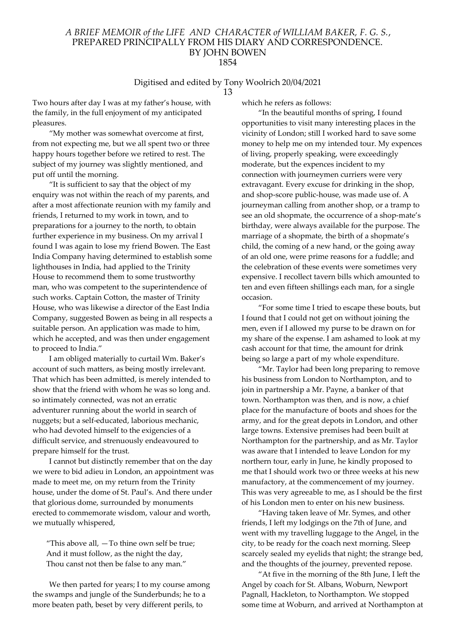# Digitised and edited by Tony Woolrich 20/04/2021

13

Two hours after day I was at my father's house, with the family, in the full enjoyment of my anticipated pleasures.

"My mother was somewhat overcome at first, from not expecting me, but we all spent two or three happy hours together before we retired to rest. The subject of my journey was slightly mentioned, and put off until the morning.

"It is sufficient to say that the object of my enquiry was not within the reach of my parents, and after a most affectionate reunion with my family and friends, I returned to my work in town, and to preparations for a journey to the north, to obtain further experience in my business. On my arrival I found I was again to lose my friend Bowen. The East India Company having determined to establish some lighthouses in India, had applied to the Trinity House to recommend them to some trustworthy man, who was competent to the superintendence of such works. Captain Cotton, the master of Trinity House, who was likewise a director of the East India Company, suggested Bowen as being in all respects a suitable person. An application was made to him, which he accepted, and was then under engagement to proceed to India."

I am obliged materially to curtail Wm. Baker's account of such matters, as being mostly irrelevant. That which has been admitted, is merely intended to show that the friend with whom he was so long and. so intimately connected, was not an erratic adventurer running about the world in search of nuggets; but a self-educated, laborious mechanic, who had devoted himself to the exigencies of a difficult service, and strenuously endeavoured to prepare himself for the trust.

I cannot but distinctly remember that on the day we were to bid adieu in London, an appointment was made to meet me, on my return from the Trinity house, under the dome of St. Paul's. And there under that glorious dome, surrounded by monuments erected to commemorate wisdom, valour and worth, we mutually whispered,

"This above all,  $-$  To thine own self be true; And it must follow, as the night the day, Thou canst not then be false to any man."

We then parted for years; I to my course among the swamps and jungle of the Sunderbunds; he to a more beaten path, beset by very different perils, to

which he refers as follows:

"In the beautiful months of spring, I found opportunities to visit many interesting places in the vicinity of London; still I worked hard to save some money to help me on my intended tour. My expences of living, properly speaking, were exceedingly moderate, but the expences incident to my connection with journeymen curriers were very extravagant. Every excuse for drinking in the shop, and shop-score public-house, was made use of. A journeyman calling from another shop, or a tramp to see an old shopmate, the occurrence of a shop-mate's birthday, were always available for the purpose. The marriage of a shopmate, the birth of a shopmate's child, the coming of a new hand, or the going away of an old one, were prime reasons for a fuddle; and the celebration of these events were sometimes very expensive. I recollect tavern bills which amounted to ten and even fifteen shillings each man, for a single occasion.

"For some time I tried to escape these bouts, but I found that I could not get on without joining the men, even if I allowed my purse to be drawn on for my share of the expense. I am ashamed to look at my cash account for that time, the amount for drink being so large a part of my whole expenditure.

"Mr. Taylor had been long preparing to remove his business from London to Northampton, and to join in partnership a Mr. Payne, a banker of that town. Northampton was then, and is now, a chief place for the manufacture of boots and shoes for the army, and for the great depots in London, and other large towns. Extensive premises had been built at Northampton for the partnership, and as Mr. Taylor was aware that I intended to leave London for my northern tour, early in June, he kindly proposed to me that I should work two or three weeks at his new manufactory, at the commencement of my journey. This was very agreeable to me, as I should be the first of his London men to enter on his new business.

"Having taken leave of Mr. Symes, and other friends, I left my lodgings on the 7th of June, and went with my travelling luggage to the Angel, in the city, to be ready for the coach next morning. Sleep scarcely sealed my eyelids that night; the strange bed, and the thoughts of the journey, prevented repose.

"At five in the morning of the 8th June, I left the Angel by coach for St. Albans, Woburn, Newport Pagnall, Hackleton, to Northampton. We stopped some time at Woburn, and arrived at Northampton at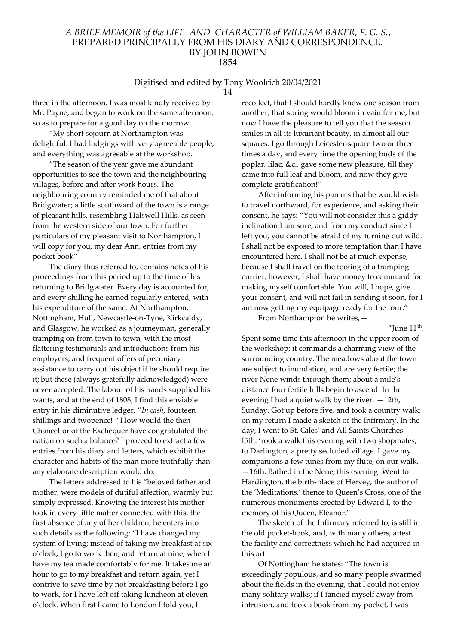# Digitised and edited by Tony Woolrich 20/04/2021

14

three in the afternoon. I was most kindly received by Mr. Payne, and began to work on the same afternoon, so as to prepare for a good day on the morrow.

"My short sojourn at Northampton was delightful. I had lodgings with very agreeable people, and everything was agreeable at the workshop.

"The season of the year gave me abundant opportunities to see the town and the neighbouring villages, before and after work hours. The neighbouring country reminded me of that about Bridgwater; a little southward of the town is a range of pleasant hills, resembling Halswell Hills, as seen from the western side of our town. For further particulars of my pleasant visit to Northampton, I will copy for you, my dear Ann, entries from my pocket book"

The diary thus referred to, contains notes of his proceedings from this period up to the time of his returning to Bridgwater. Every day is accounted for, and every shilling he earned regularly entered, with his expenditure of the same. At Northampton, Nottingham, Hull, Newcastle-on-Tyne, Kirkcaldy, and Glasgow, he worked as a journeyman, generally tramping on from town to town, with the most flattering testimonials and introductions from his employers, and frequent offers of pecuniary assistance to carry out his object if he should require it; but these (always gratefully acknowledged) were never accepted. The labour of his hands supplied his wants, and at the end of 1808, I find this enviable entry in his diminutive ledger, "In cash, fourteen shillings and twopence! " How would the then Chancellor of the Exchequer have congratulated the nation on such a balance? I proceed to extract a few entries from his diary and letters, which exhibit the character and habits of the man more truthfully than any elaborate description would do.

The letters addressed to his "beloved father and mother, were models of dutiful affection, warmly but simply expressed. Knowing the interest his mother took in every little matter connected with this, the first absence of any of her children, he enters into such details as the following: "I have changed my system of living; instead of taking my breakfast at six o'clock, I go to work then, and return at nine, when I have my tea made comfortably for me. It takes me an hour to go to my breakfast and return again, yet I contrive to save time by not breakfasting before I go to work, for I have left off taking luncheon at eleven o'clock. When first I came to London I told you, I

recollect, that I should hardly know one season from another; that spring would bloom in vain for me; but now I have the pleasure to tell you that the season smiles in all its luxuriant beauty, in almost all our squares. I go through Leicester-square two or three times a day, and every time the opening buds of the poplar, lilac, &c., gave some new pleasure, till they came into full leaf and bloom, and now they give complete gratification!"

After informing his parents that he would wish to travel northward, for experience, and asking their consent, he says: "You will not consider this a giddy inclination I am sure, and from my conduct since I left you, you cannot be afraid of my turning out wild. I shall not be exposed to more temptation than I have encountered here. I shall not be at much expense, because I shall travel on the footing of a tramping currier; however, I shall have money to command for making myself comfortable. You will, I hope, give your consent, and will not fail in sending it soon, for I am now getting my equipage ready for the tour."

From Northampton he writes,—

"June  $11<sup>th</sup>$ .

Spent some time this afternoon in the upper room of the workshop; it commands a charming view of the surrounding country. The meadows about the town are subject to inundation, and are very fertile; the river Nene winds through them; about a mile's distance four fertile hills begin to ascend. In the evening I had a quiet walk by the river. —12th, Sunday. Got up before five, and took a country walk; on my return I made a sketch of the Infirmary. In the day, I went to St. Giles' and All Saints Churches.— I5th. 'rook a walk this evening with two shopmates, to Darlington, a pretty secluded village. I gave my companions a few tunes from my flute, on our walk. —16th. Bathed in the Nene, this evening. Went to Hardington, the birth-place of Hervey, the author of the 'Meditations,' thence to Queen's Cross, one of the numerous monuments erected by Edward I, to the memory of his Queen, Eleanor."

The sketch of the Infirmary referred to, is still in the old pocket-book, and, with many others, attest the facility and correctness which he had acquired in this art.

Of Nottingham he states: "The town is exceedingly populous, and so many people swarmed about the fields in the evening, that I could not enjoy many solitary walks; if I fancied myself away from intrusion, and took a book from my pocket, I was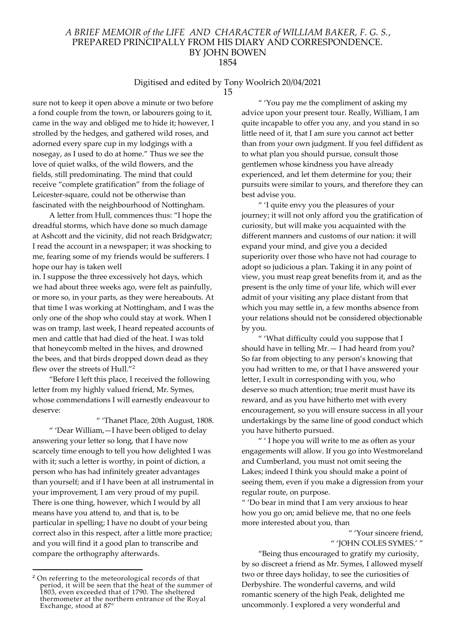# Digitised and edited by Tony Woolrich 20/04/2021

15

sure not to keep it open above a minute or two before a fond couple from the town, or labourers going to it, came in the way and obliged me to hide it; however, I strolled by the hedges, and gathered wild roses, and adorned every spare cup in my lodgings with a nosegay, as I used to do at home." Thus we see the love of quiet walks, of the wild flowers, and the fields, still predominating. The mind that could receive "complete gratification" from the foliage of Leicester-square, could not be otherwise than fascinated with the neighbourhood of Nottingham.

A letter from Hull, commences thus: "I hope the dreadful storms, which have done so much damage at Ashcott and the vicinity, did not reach Bridgwatcr; I read the account in a newspaper; it was shocking to me, fearing some of my friends would be sufferers. I hope our hay is taken well

in. I suppose the three excessively hot days, which we had about three weeks ago, were felt as painfully, or more so, in your parts, as they were hereabouts. At that time I was working at Nottingham, and I was the only one of the shop who could stay at work. When I was on tramp, last week, I heard repeated accounts of men and cattle that had died of the heat. I was told that honeycomb melted in the hives, and drowned the bees, and that birds dropped down dead as they flew over the streets of Hull."<sup>2</sup>

"Before I left this place, I received the following letter from my highly valued friend, Mr. Symes, whose commendations I will earnestly endeavour to deserve:

" 'Thanet Place, 20th August, 1808. " 'Dear William,—I have been obliged to delay answering your letter so long, that I have now scarcely time enough to tell you how delighted I was with it; such a letter is worthy, in point of diction, a person who has had infinitely greater advantages than yourself; and if I have been at all instrumental in your improvement, I am very proud of my pupil. There is one thing, however, which I would by all means have you attend to, and that is, to be particular in spelling; I have no doubt of your being correct also in this respect, after a little more practice; and you will find it a good plan to transcribe and compare the orthography afterwards.

" 'You pay me the compliment of asking my advice upon your present tour. Really, William, I am quite incapable to offer you any, and you stand in so little need of it, that I am sure you cannot act better than from your own judgment. If you feel diffident as to what plan you should pursue, consult those gentlemen whose kindness you have already experienced, and let them determine for you; their pursuits were similar to yours, and therefore they can best advise you.

" 'I quite envy you the pleasures of your journey; it will not only afford you the gratification of curiosity, but will make you acquainted with the different manners and customs of our nation: it will expand your mind, and give you a decided superiority over those who have not had courage to adopt so judicious a plan. Taking it in any point of view, you must reap great benefits from it, and as the present is the only time of your life, which will ever admit of your visiting any place distant from that which you may settle in, a few months absence from your relations should not be considered objectionable by you.

" 'What difficulty could you suppose that I should have in telling  $Mr. - I$  had heard from you? So far from objecting to any person's knowing that you had written to me, or that I have answered your letter, I exult in corresponding with you, who deserve so much attention; true merit must have its reward, and as you have hitherto met with every encouragement, so you will ensure success in all your undertakings by the same line of good conduct which you have hitherto pursued.

" ' I hope you will write to me as often as your engagements will allow. If you go into Westmoreland and Cumberland, you must not omit seeing the Lakes; indeed I think you should make a point of seeing them, even if you make a digression from your regular route, on purpose.

" 'Do bear in mind that I am very anxious to hear how you go on; amid believe me, that no one feels more interested about you, than

> " 'Your sincere friend, " 'JOHN COLES SYMES.' "

"Being thus encouraged to gratify my curiosity, by so discreet a friend as Mr. Symes, I allowed myself two or three days holiday, to see the curiosities of Derbyshire. The wonderful caverns, and wild romantic scenery of the high Peak, delighted me uncommonly. I explored a very wonderful and

<sup>2</sup> On referring to the meteorological records of that period, it will be seen that the heat of the summer of 1803, even exceeded that of 1790. The sheltered thermometer at the northern entrance of the Royal Exchange, stood at 87°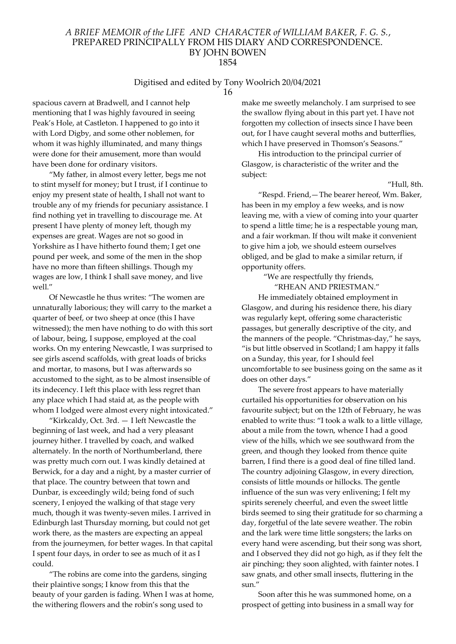# Digitised and edited by Tony Woolrich 20/04/2021

16

spacious cavern at Bradwell, and I cannot help mentioning that I was highly favoured in seeing Peak's Hole, at Castleton. I happened to go into it with Lord Digby, and some other noblemen, for whom it was highly illuminated, and many things were done for their amusement, more than would have been done for ordinary visitors.

"My father, in almost every letter, begs me not to stint myself for money; but I trust, if I continue to enjoy my present state of health, I shall not want to trouble any of my friends for pecuniary assistance. I find nothing yet in travelling to discourage me. At present I have plenty of money left, though my expenses are great. Wages are not so good in Yorkshire as I have hitherto found them; I get one pound per week, and some of the men in the shop have no more than fifteen shillings. Though my wages are low, I think I shall save money, and live well."

Of Newcastle he thus writes: "The women are unnaturally laborious; they will carry to the market a quarter of beef, or two sheep at once (this I have witnessed); the men have nothing to do with this sort of labour, being, I suppose, employed at the coal works. On my entering Newcastle, I was surprised to see girls ascend scaffolds, with great loads of bricks and mortar, to masons, but I was afterwards so accustomed to the sight, as to be almost insensible of its indecency. I left this place with less regret than any place which I had staid at, as the people with whom I lodged were almost every night intoxicated."

"Kirkcaldy, Oct. 3rd. — I left Newcastle the beginning of last week, and had a very pleasant journey hither. I travelled by coach, and walked alternately. In the north of Northumberland, there was pretty much corn out. I was kindly detained at Berwick, for a day and a night, by a master currier of that place. The country between that town and Dunbar, is exceedingly wild; being fond of such scenery, I enjoyed the walking of that stage very much, though it was twenty-seven miles. I arrived in Edinburgh last Thursday morning, but could not get work there, as the masters are expecting an appeal from the journeymen, for better wages. In that capital I spent four days, in order to see as much of it as I could.

"The robins are come into the gardens, singing their plaintive songs; I know from this that the beauty of your garden is fading. When I was at home, the withering flowers and the robin's song used to

make me sweetly melancholy. I am surprised to see the swallow flying about in this part yet. I have not forgotten my collection of insects since I have been out, for I have caught several moths and butterflies, which I have preserved in Thomson's Seasons."

His introduction to the principal currier of Glasgow, is characteristic of the writer and the subject:

"Hull, 8th.

"Respd. Friend,—The bearer hereof, Wm. Baker, has been in my employ a few weeks, and is now leaving me, with a view of coming into your quarter to spend a little time; he is a respectable young man, and a fair workman. If thou wilt make it convenient to give him a job, we should esteem ourselves obliged, and be glad to make a similar return, if opportunity offers.

> "We are respectfully thy friends, "RHEAN AND PRIESTMAN."

He immediately obtained employment in Glasgow, and during his residence there, his diary was regularly kept, offering some characteristic passages, but generally descriptive of the city, and the manners of the people. "Christmas-day," he says, "is but little observed in Scotland; I am happy it falls on a Sunday, this year, for I should feel uncomfortable to see business going on the same as it does on other days."

The severe frost appears to have materially curtailed his opportunities for observation on his favourite subject; but on the 12th of February, he was enabled to write thus: "I took a walk to a little village, about a mile from the town, whence I had a good view of the hills, which we see southward from the green, and though they looked from thence quite barren, I find there is a good deal of fine tilled land. The country adjoining Glasgow, in every direction, consists of little mounds or hillocks. The gentle influence of the sun was very enlivening; I felt my spirits serenely cheerful, and even the sweet little birds seemed to sing their gratitude for so charming a day, forgetful of the late severe weather. The robin and the lark were time little songsters; the larks on every hand were ascending, but their song was short, and I observed they did not go high, as if they felt the air pinching; they soon alighted, with fainter notes. I saw gnats, and other small insects, fluttering in the sun."

Soon after this he was summoned home, on a prospect of getting into business in a small way for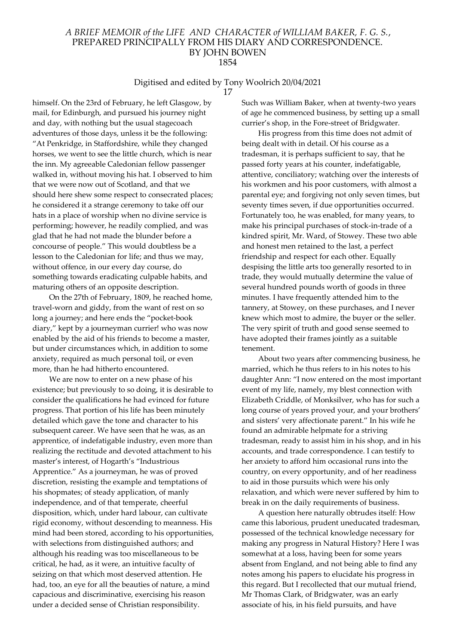#### Digitised and edited by Tony Woolrich 20/04/2021 17

himself. On the 23rd of February, he left Glasgow, by mail, for Edinburgh, and pursued his journey night and day, with nothing but the usual stagecoach adventures of those days, unless it be the following: "At Penkridge, in Staffordshire, while they changed horses, we went to see the little church, which is near the inn. My agreeable Caledonian fellow passenger walked in, without moving his hat. I observed to him that we were now out of Scotland, and that we should here shew some respect to consecrated places; he considered it a strange ceremony to take off our hats in a place of worship when no divine service is performing; however, he readily complied, and was

glad that he had not made the blunder before a concourse of people." This would doubtless be a lesson to the Caledonian for life; and thus we may, without offence, in our every day course, do something towards eradicating culpable habits, and maturing others of an opposite description.

On the 27th of February, 1809, he reached home, travel-worn and giddy, from the want of rest on so long a journey; and here ends the "pocket-book diary," kept by a journeyman currier! who was now enabled by the aid of his friends to become a master, but under circumstances which, in addition to some anxiety, required as much personal toil, or even more, than he had hitherto encountered.

We are now to enter on a new phase of his existence; but previously to so doing, it is desirable to consider the qualifications he had evinced for future progress. That portion of his life has been minutely detailed which gave the tone and character to his subsequent career. We have seen that he was, as an apprentice, of indefatigable industry, even more than realizing the rectitude and devoted attachment to his master's interest, of Hogarth's "Industrious Apprentice." As a journeyman, he was of proved discretion, resisting the example and temptations of his shopmates; of steady application, of manly independence, and of that temperate, cheerful disposition, which, under hard labour, can cultivate rigid economy, without descending to meanness. His mind had been stored, according to his opportunities, with selections from distinguished authors; and although his reading was too miscellaneous to be critical, he had, as it were, an intuitive faculty of seizing on that which most deserved attention. He had, too, an eye for all the beauties of nature, a mind capacious and discriminative, exercising his reason under a decided sense of Christian responsibility.

Such was William Baker, when at twenty-two years of age he commenced business, by setting up a small currier's shop, in the Fore-street of Bridgwater.

His progress from this time does not admit of being dealt with in detail. Of his course as a tradesman, it is perhaps sufficient to say, that he passed forty years at his counter, indefatigable, attentive, conciliatory; watching over the interests of his workmen and his poor customers, with almost a parental eye; and forgiving not only seven times, but seventy times seven, if due opportunities occurred. Fortunately too, he was enabled, for many years, to make his principal purchases of stock-in-trade of a kindred spirit, Mr. Ward, of Stowey. These two able and honest men retained to the last, a perfect friendship and respect for each other. Equally despising the little arts too generally resorted to in trade, they would mutually determine the value of several hundred pounds worth of goods in three minutes. I have frequently attended him to the tannery, at Stowey, on these purchases, and I never knew which most to admire, the buyer or the seller. The very spirit of truth and good sense seemed to have adopted their frames jointly as a suitable tenement.

About two years after commencing business, he married, which he thus refers to in his notes to his daughter Ann: "I now entered on the most important event of my life, namely, my blest connection with Elizabeth Criddle, of Monksilver, who has for such a long course of years proved your, and your brothers' and sisters' very affectionate parent." In his wife he found an admirable helpmate for a striving tradesman, ready to assist him in his shop, and in his accounts, and trade correspondence. I can testify to her anxiety to afford him occasional runs into the country, on every opportunity, and of her readiness to aid in those pursuits which were his only relaxation, and which were never suffered by him to break in on the daily requirements of business.

A question here naturally obtrudes itself: How came this laborious, prudent uneducated tradesman, possessed of the technical knowledge necessary for making any progress in Natural History? Here I was somewhat at a loss, having been for some years absent from England, and not being able to find any notes among his papers to elucidate his progress in this regard. But I recollected that our mutual friend, Mr Thomas Clark, of Bridgwater, was an early associate of his, in his field pursuits, and have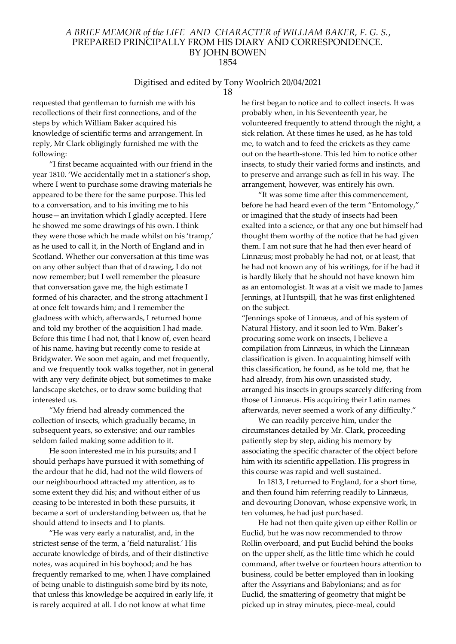# Digitised and edited by Tony Woolrich 20/04/2021

18

requested that gentleman to furnish me with his recollections of their first connections, and of the steps by which William Baker acquired his knowledge of scientific terms and arrangement. In reply, Mr Clark obligingly furnished me with the following:

"I first became acquainted with our friend in the year 1810. 'We accidentally met in a stationer's shop, where I went to purchase some drawing materials he appeared to be there for the same purpose. This led to a conversation, and to his inviting me to his house—an invitation which I gladly accepted. Here he showed me some drawings of his own. I think they were those which he made whilst on his 'tramp,' as he used to call it, in the North of England and in Scotland. Whether our conversation at this time was on any other subject than that of drawing, I do not now remember; but I well remember the pleasure that conversation gave me, the high estimate I formed of his character, and the strong attachment I at once felt towards him; and I remember the gladness with which, afterwards, I returned home and told my brother of the acquisition I had made. Before this time I had not, that I know of, even heard of his name, having but recently come to reside at Bridgwater. We soon met again, and met frequently, and we frequently took walks together, not in general with any very definite object, but sometimes to make landscape sketches, or to draw some building that interested us.

"My friend had already commenced the collection of insects, which gradually became, in subsequent years, so extensive; and our rambles seldom failed making some addition to it.

He soon interested me in his pursuits; and I should perhaps have pursued it with something of the ardour that he did, had not the wild flowers of our neighbourhood attracted my attention, as to some extent they did his; and without either of us ceasing to be interested in both these pursuits, it became a sort of understanding between us, that he should attend to insects and I to plants.

"He was very early a naturalist, and, in the strictest sense of the term, a 'field naturalist.' His accurate knowledge of birds, and of their distinctive notes, was acquired in his boyhood; and he has frequently remarked to me, when I have complained of being unable to distinguish some bird by its note, that unless this knowledge be acquired in early life, it is rarely acquired at all. I do not know at what time

he first began to notice and to collect insects. It was probably when, in his Seventeenth year, he volunteered frequently to attend through the night, a sick relation. At these times he used, as he has told me, to watch and to feed the crickets as they came out on the hearth-stone. This led him to notice other insects, to study their varied forms and instincts, and to preserve and arrange such as fell in his way. The arrangement, however, was entirely his own.

"It was some time after this commencement, before he had heard even of the term "Entomology," or imagined that the study of insects had been exalted into a science, or that any one but himself had thought them worthy of the notice that he had given them. I am not sure that he had then ever heard of Linnæus; most probably he had not, or at least, that he had not known any of his writings, for if he had it is hardly likely that he should not have known him as an entomologist. It was at a visit we made to James Jennings, at Huntspill, that he was first enlightened on the subject.

"Jennings spoke of Linnæus, and of his system of Natural History, and it soon led to Wm. Baker's procuring some work on insects, I believe a compilation from Linnæus, in which the Linnæan classification is given. In acquainting himself with this classification, he found, as he told me, that he had already, from his own unassisted study, arranged his insects in groups scarcely differing from those of Linnæus. His acquiring their Latin names afterwards, never seemed a work of any difficulty."

We can readily perceive him, under the circumstances detailed by Mr. Clark, proceeding patiently step by step, aiding his memory by associating the specific character of the object before him with its scientific appellation. His progress in this course was rapid and well sustained.

In 1813, I returned to England, for a short time, and then found him referring readily to Linnæus, and devouring Donovan, whose expensive work, in ten volumes, he had just purchased.

He had not then quite given up either Rollin or Euclid, but he was now recommended to throw Rollin overboard, and put Euclid behind the books on the upper shelf, as the little time which he could command, after twelve or fourteen hours attention to business, could be better employed than in looking after the Assyrians and Babylonians; and as for Euclid, the smattering of geometry that might be picked up in stray minutes, piece-meal, could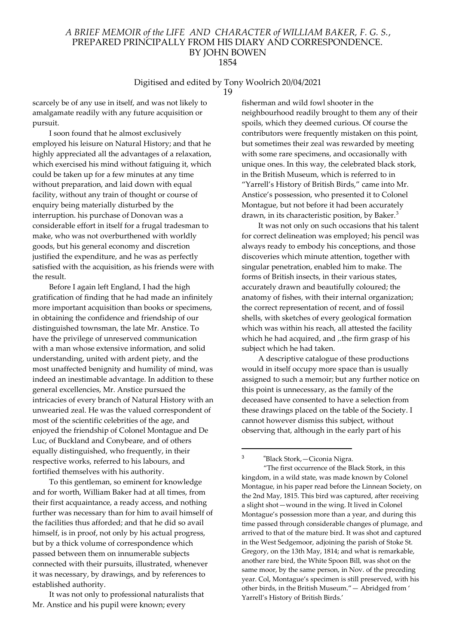# Digitised and edited by Tony Woolrich 20/04/2021

19

scarcely be of any use in itself, and was not likely to amalgamate readily with any future acquisition or pursuit.

I soon found that he almost exclusively employed his leisure on Natural History; and that he highly appreciated all the advantages of a relaxation, which exercised his mind without fatiguing it, which could be taken up for a few minutes at any time without preparation, and laid down with equal facility, without any train of thought or course of enquiry being materially disturbed by the interruption. his purchase of Donovan was a considerable effort in itself for a frugal tradesman to make, who was not overburthened with worldly goods, but his general economy and discretion justified the expenditure, and he was as perfectly satisfied with the acquisition, as his friends were with the result.

Before I again left England, I had the high gratification of finding that he had made an infinitely more important acquisition than books or specimens, in obtaining the confidence and friendship of our distinguished townsman, the late Mr. Anstice. To have the privilege of unreserved communication with a man whose extensive information, and solid understanding, united with ardent piety, and the most unaffected benignity and humility of mind, was indeed an inestimable advantage. In addition to these general excellencies, Mr. Anstice pursued the intricacies of every branch of Natural History with an unwearied zeal. He was the valued correspondent of most of the scientific celebrities of the age, and enjoyed the friendship of Colonel Montague and De Luc, of Buckland and Conybeare, and of others equally distinguished, who frequently, in their respective works, referred to his labours, and fortified themselves with his authority.

To this gentleman, so eminent for knowledge and for worth, William Baker had at all times, from their first acquaintance, a ready access, and nothing further was necessary than for him to avail himself of the facilities thus afforded; and that he did so avail himself, is in proof, not only by his actual progress, but by a thick volume of correspondence which passed between them on innumerable subjects connected with their pursuits, illustrated, whenever it was necessary, by drawings, and by references to established authority.

It was not only to professional naturalists that Mr. Anstice and his pupil were known; every

fisherman and wild fowl shooter in the neighbourhood readily brought to them any of their spoils, which they deemed curious. Of course the contributors were frequently mistaken on this point, but sometimes their zeal was rewarded by meeting with some rare specimens, and occasionally with unique ones. In this way, the celebrated black stork, in the British Museum, which is referred to in "Yarrell's History of British Birds," came into Mr. Anstice's possession, who presented it to Colonel Montague, but not before it had been accurately drawn, in its characteristic position, by Baker.<sup>3</sup>

It was not only on such occasions that his talent for correct delineation was employed; his pencil was always ready to embody his conceptions, and those discoveries which minute attention, together with singular penetration, enabled him to make. The forms of British insects, in their various states, accurately drawn and beautifully coloured; the anatomy of fishes, with their internal organization; the correct representation of recent, and of fossil shells, with sketches of every geological formation which was within his reach, all attested the facility which he had acquired, and ,.the firm grasp of his subject which he had taken.

A descriptive catalogue of these productions would in itself occupy more space than is usually assigned to such a memoir; but any further notice on this point is unnecessary, as the family of the deceased have consented to have a selection from these drawings placed on the table of the Society. I cannot however dismiss this subject, without observing that, although in the early part of his

"Black Stork,—Ciconia Nigra.

3

 <sup>&</sup>quot;The first occurrence of the Black Stork, in this kingdom, in a wild state, was made known by Colonel Montague, in his paper read before the Linnean Society, on the 2nd May, 1815. This bird was captured, after receiving a slight shot—wound in the wing. It lived in Colonel Montague's possession more than a year, and during this time passed through considerable changes of plumage, and arrived to that of the mature bird. It was shot and captured in the West Sedgemoor, adjoining the parish of Stoke St. Gregory, on the 13th May, 1814; and what is remarkable, another rare bird, the White Spoon Bill, was shot on the same moor, by the same person, in Nov. of the preceding year. Col, Montague's specimen is still preserved, with his other birds, in the British Museum."— Abridged from ' Yarrell's History of British Birds.'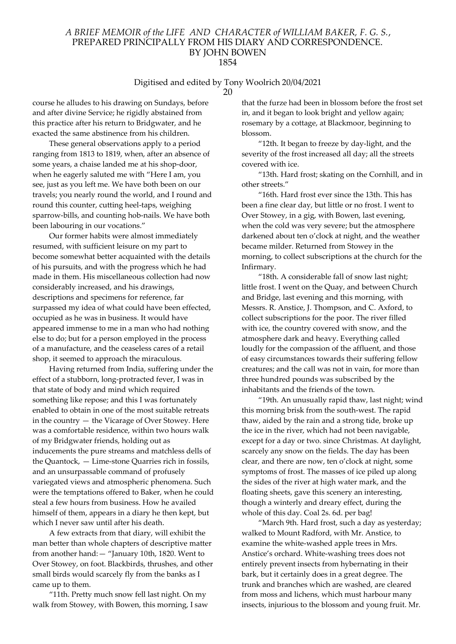# Digitised and edited by Tony Woolrich 20/04/2021

course he alludes to his drawing on Sundays, before and after divine Service; he rigidly abstained from this practice after his return to Bridgwater, and he exacted the same abstinence from his children.

These general observations apply to a period ranging from 1813 to 1819, when, after an absence of some years, a chaise landed me at his shop-door, when he eagerly saluted me with "Here I am, you see, just as you left me. We have both been on our travels; you nearly round the world, and I round and round this counter, cutting heel-taps, weighing sparrow-bills, and counting hob-nails. We have both been labouring in our vocations."

Our former habits were almost immediately resumed, with sufficient leisure on my part to become somewhat better acquainted with the details of his pursuits, and with the progress which he had made in them. His miscellaneous collection had now considerably increased, and his drawings, descriptions and specimens for reference, far surpassed my idea of what could have been effected, occupied as he was in business. It would have appeared immense to me in a man who had nothing else to do; but for a person employed in the process of a manufacture, and the ceaseless cares of a retail shop, it seemed to approach the miraculous.

Having returned from India, suffering under the effect of a stubborn, long-protracted fever, I was in that state of body and mind which required something like repose; and this I was fortunately enabled to obtain in one of the most suitable retreats in the country — the Vicarage of Over Stowey. Here was a comfortable residence, within two hours walk of my Bridgwater friends, holding out as inducements the pure streams and matchless dells of the Quantock, — Lime-stone Quarries rich in fossils, and an unsurpassable command of profusely variegated views and atmospheric phenomena. Such were the temptations offered to Baker, when he could steal a few hours from business. How he availed himself of them, appears in a diary he then kept, but which I never saw until after his death.

A few extracts from that diary, will exhibit the man better than whole chapters of descriptive matter from another hand:— "January 10th, 1820. Went to Over Stowey, on foot. Blackbirds, thrushes, and other small birds would scarcely fly from the banks as I came up to them.

"11th. Pretty much snow fell last night. On my walk from Stowey, with Bowen, this morning, I saw that the furze had been in blossom before the frost set in, and it began to look bright and yellow again; rosemary by a cottage, at Blackmoor, beginning to blossom.

"12th. It began to freeze by day-light, and the severity of the frost increased all day; all the streets covered with ice.

"13th. Hard frost; skating on the Cornhill, and in other streets."

"16th. Hard frost ever since the 13th. This has been a fine clear day, but little or no frost. I went to Over Stowey, in a gig, with Bowen, last evening, when the cold was very severe; but the atmosphere darkened about ten o'clock at night, and the weather became milder. Returned from Stowey in the morning, to collect subscriptions at the church for the Infirmary.

"18th. A considerable fall of snow last night; little frost. I went on the Quay, and between Church and Bridge, last evening and this morning, with Messrs. R. Anstice, J. Thompson, and C. Axford, to collect subscriptions for the poor. The river filled with ice, the country covered with snow, and the atmosphere dark and heavy. Everything called loudly for the compassion of the affluent, and those of easy circumstances towards their suffering fellow creatures; and the call was not in vain, for more than three hundred pounds was subscribed by the inhabitants and the friends of the town.

"19th. An unusually rapid thaw, last night; wind this morning brisk from the south-west. The rapid thaw, aided by the rain and a strong tide, broke up the ice in the river, which had not been navigable, except for a day or two. since Christmas. At daylight, scarcely any snow on the fields. The day has been clear, and there are now, ten o'clock at night, some symptoms of frost. The masses of ice piled up along the sides of the river at high water mark, and the floating sheets, gave this scenery an interesting, though a winterly and dreary effect, during the whole of this day. Coal 2s. 6d. per bag!

"March 9th. Hard frost, such a day as yesterday; walked to Mount Radford, with Mr. Anstice, to examine the white-washed apple trees in Mrs. Anstice's orchard. White-washing trees does not entirely prevent insects from hybernating in their bark, but it certainly does in a great degree. The trunk and branches which are washed, are cleared from moss and lichens, which must harbour many insects, injurious to the blossom and young fruit. Mr.

<sup>20</sup>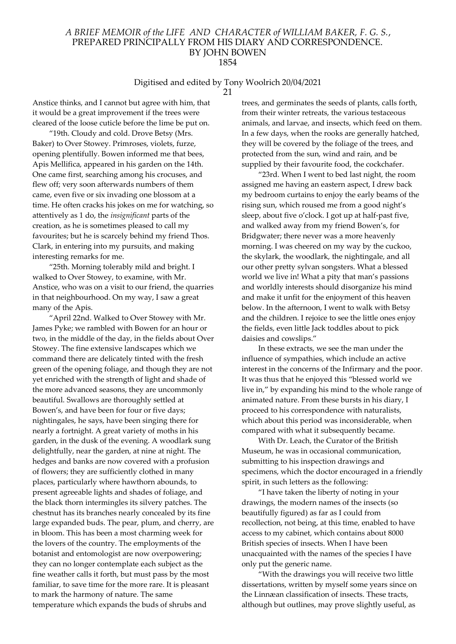# Digitised and edited by Tony Woolrich 20/04/2021

21

Anstice thinks, and I cannot but agree with him, that it would be a great improvement if the trees were cleared of the loose cuticle before the lime be put on.

"19th. Cloudy and cold. Drove Betsy (Mrs. Baker) to Over Stowey. Primroses, violets, furze, opening plentifully. Bowen informed me that bees, Apis Mellifica, appeared in his garden on the 14th. One came first, searching among his crocuses, and flew off; very soon afterwards numbers of them came, even five or six invading one blossom at a time. He often cracks his jokes on me for watching, so attentively as 1 do, the insignificant parts of the creation, as he is sometimes pleased to call my favourites; but he is scarcely behind my friend Thos. Clark, in entering into my pursuits, and making interesting remarks for me.

"25th. Morning tolerably mild and bright. I walked to Over Stowey, to examine, with Mr. Anstice, who was on a visit to our friend, the quarries in that neighbourhood. On my way, I saw a great many of the Apis.

"April 22nd. Walked to Over Stowey with Mr. James Pyke; we rambled with Bowen for an hour or two, in the middle of the day, in the fields about Over Stowey. The fine extensive landscapes which we command there are delicately tinted with the fresh green of the opening foliage, and though they are not yet enriched with the strength of light and shade of the more advanced seasons, they are uncommonly beautiful. Swallows are thoroughly settled at Bowen's, and have been for four or five days; nightingales, he says, have been singing there for nearly a fortnight. A great variety of moths in his garden, in the dusk of the evening. A woodlark sung delightfully, near the garden, at nine at night. The hedges and banks are now covered with a profusion of flowers; they are sufficiently clothed in many places, particularly where hawthorn abounds, to present agreeable lights and shades of foliage, and the black thorn intermingles its silvery patches. The chestnut has its branches nearly concealed by its fine large expanded buds. The pear, plum, and cherry, are in bloom. This has been a most charming week for the lovers of the country. The employments of the botanist and entomologist are now overpowering; they can no longer contemplate each subject as the fine weather calls it forth, but must pass by the most familiar, to save time for the more rare. It is pleasant to mark the harmony of nature. The same temperature which expands the buds of shrubs and

trees, and germinates the seeds of plants, calls forth, from their winter retreats, the various testaceous animals, and larvae, and insects, which feed on them. In a few days, when the rooks are generally hatched, they will be covered by the foliage of the trees, and protected from the sun, wind and rain, and be supplied by their favourite food, the cockchafer.

"23rd. When I went to bed last night, the room assigned me having an eastern aspect, I drew back my bedroom curtains to enjoy the early beams of the rising sun, which roused me from a good night's sleep, about five o'clock. I got up at half-past five, and walked away from my friend Bowen's, for Bridgwater; there never was a more heavenly morning. I was cheered on my way by the cuckoo, the skylark, the woodlark, the nightingale, and all our other pretty sylvan songsters. What a blessed world we live in! What a pity that man's passions and worldly interests should disorganize his mind and make it unfit for the enjoyment of this heaven below. In the afternoon, I went to walk with Betsy and the children. I rejoice to see the little ones enjoy the fields, even little Jack toddles about to pick daisies and cowslips."

In these extracts, we see the man under the influence of sympathies, which include an active interest in the concerns of the Infirmary and the poor. It was thus that he enjoyed this "blessed world we live in," by expanding his mind to the whole range of animated nature. From these bursts in his diary, I proceed to his correspondence with naturalists, which about this period was inconsiderable, when compared with what it subsequently became.

With Dr. Leach, the Curator of the British Museum, he was in occasional communication, submitting to his inspection drawings and specimens, which the doctor encouraged in a friendly spirit, in such letters as the following:

"I have taken the liberty of noting in your drawings, the modern names of the insects (so beautifully figured) as far as I could from recollection, not being, at this time, enabled to have access to my cabinet, which contains about 8000 British species of insects. When I have been unacquainted with the names of the species I have only put the generic name.

"With the drawings you will receive two little dissertations, written by myself some years since on the Linnæan classification of insects. These tracts, although but outlines, may prove slightly useful, as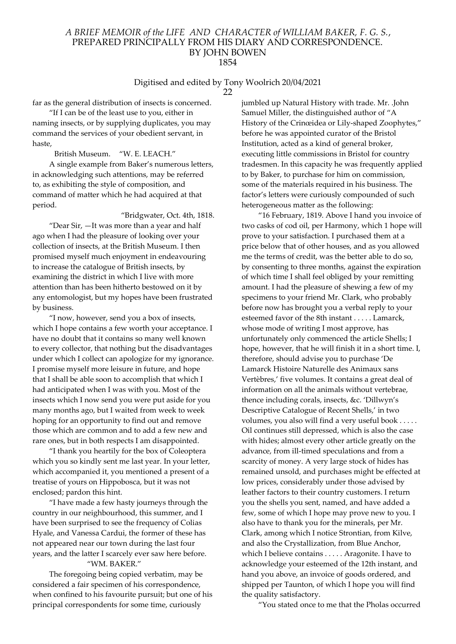#### Digitised and edited by Tony Woolrich 20/04/2021 22

far as the general distribution of insects is concerned.

"If I can be of the least use to you, either in naming insects, or by supplying duplicates, you may command the services of your obedient servant, in haste,

British Museum. "W. E. LEACH."

A single example from Baker's numerous letters, in acknowledging such attentions, may be referred to, as exhibiting the style of composition, and command of matter which he had acquired at that period.

"Bridgwater, Oct. 4th, 1818.

"Dear Sir, —It was more than a year and half ago when I had the pleasure of looking over your collection of insects, at the British Museum. I then promised myself much enjoyment in endeavouring to increase the catalogue of British insects, by examining the district in which I live with more attention than has been hitherto bestowed on it by any entomologist, but my hopes have been frustrated by business.

"I now, however, send you a box of insects, which I hope contains a few worth your acceptance. I have no doubt that it contains so many well known to every collector, that nothing but the disadvantages under which I collect can apologize for my ignorance. I promise myself more leisure in future, and hope that I shall be able soon to accomplish that which I had anticipated when I was with you. Most of the insects which I now send you were put aside for you many months ago, but I waited from week to week hoping for an opportunity to find out and remove those which are common and to add a few new and rare ones, but in both respects I am disappointed.

"I thank you heartily for the box of Coleoptera which you so kindly sent me last year. In your letter, which accompanied it, you mentioned a present of a treatise of yours on Hippobosca, but it was not enclosed; pardon this hint.

"I have made a few hasty journeys through the country in our neighbourhood, this summer, and I have been surprised to see the frequency of Colias Hyale, and Vanessa Cardui, the former of these has not appeared near our town during the last four years, and the latter I scarcely ever saw here before. "WM. BAKER."

The foregoing being copied verbatim, may be considered a fair specimen of his correspondence, when confined to his favourite pursuit; but one of his principal correspondents for some time, curiously

jumbled up Natural History with trade. Mr. .John Samuel Miller, the distinguished author of "A History of the Crinœidea or Lily-shaped Zoophytes," before he was appointed curator of the Bristol Institution, acted as a kind of general broker, executing little commissions in Bristol for country tradesmen. In this capacity he was frequently applied to by Baker, to purchase for him on commission, some of the materials required in his business. The factor's letters were curiously compounded of such heterogeneous matter as the following:

"16 February, 1819. Above I hand you invoice of two casks of cod oil, per Harmony, which 1 hope will prove to your satisfaction. I purchased them at a price below that of other houses, and as you allowed me the terms of credit, was the better able to do so, by consenting to three months, against the expiration of which time I shall feel obliged by your remitting amount. I had the pleasure of shewing a few of my specimens to your friend Mr. Clark, who probably before now has brought you a verbal reply to your esteemed favor of the 8th instant . . . . . Lamarck, whose mode of writing I most approve, has unfortunately only commenced the article Shells; I hope, however, that he will finish it in a short time. I, therefore, should advise you to purchase 'De Lamarck Histoire Naturelle des Animaux sans Vertèbres,' five volumes. It contains a great deal of information on all the animals without vertebrae, thence including corals, insects, &c. 'Dillwyn's Descriptive Catalogue of Recent Shells,' in two volumes, you also will find a very useful book . . . . . Oil continues still depressed, which is also the case with hides; almost every other article greatly on the advance, from ill-timed speculations and from a scarcity of money. A very large stock of hides has remained unsold, and purchases might be effected at low prices, considerably under those advised by leather factors to their country customers. I return you the shells you sent, named, and have added a few, some of which I hope may prove new to you. I also have to thank you for the minerals, per Mr. Clark, among which I notice Strontian, from Kilve, and also the Crystallization, from Blue Anchor, which I believe contains . . . . . Aragonite. I have to acknowledge your esteemed of the 12th instant, and hand you above, an invoice of goods ordered, and shipped per Taunton, of which I hope you will find the quality satisfactory.

"You stated once to me that the Pholas occurred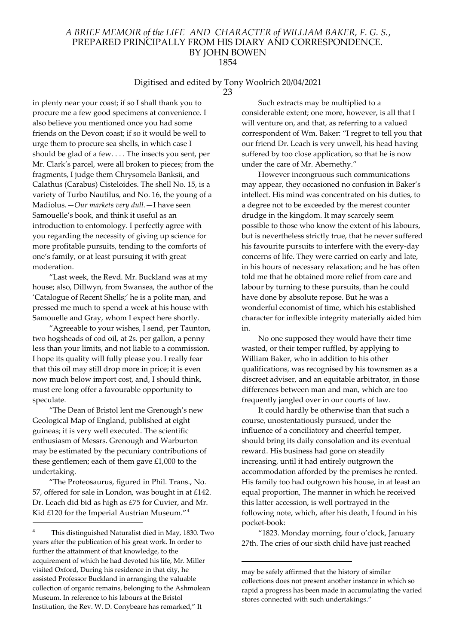# Digitised and edited by Tony Woolrich 20/04/2021

23

in plenty near your coast; if so I shall thank you to procure me a few good specimens at convenience. I also believe you mentioned once you had some friends on the Devon coast; if so it would be well to urge them to procure sea shells, in which case I should be glad of a few. . . . The insects you sent, per Mr. Clark's parcel, were all broken to pieces; from the fragments, I judge them Chrysomela Banksii, and Calathus (Carabus) Cisteloides. The shell No. 15, is a variety of Turbo Nautilus, and No. 16, the young of a Madiolus.—Our markets very dull.—I have seen Samouelle's book, and think it useful as an introduction to entomology. I perfectly agree with you regarding the necessity of giving up science for more profitable pursuits, tending to the comforts of one's family, or at least pursuing it with great moderation.

"Last week, the Revd. Mr. Buckland was at my house; also, Dillwyn, from Swansea, the author of the 'Catalogue of Recent Shells;' he is a polite man, and pressed me much to spend a week at his house with Samouelle and Gray, whom I expect here shortly.

"Agreeable to your wishes, I send, per Taunton, two hogsheads of cod oil, at 2s. per gallon, a penny less than your limits, and not liable to a commission. I hope its quality will fully please you. I really fear that this oil may still drop more in price; it is even now much below import cost, and, I should think, must ere long offer a favourable opportunity to speculate.

"The Dean of Bristol lent me Grenough's new Geological Map of England, published at eight guineas; it is very well executed. The scientific enthusiasm of Messrs. Grenough and Warburton may be estimated by the pecuniary contributions of these gentlemen; each of them gave £1,000 to the undertaking.

"The Proteosaurus, figured in Phil. Trans., No. 57, offered for sale in London, was bought in at £142. Dr. Leach did bid as high as £75 for Cuvier, and Mr. Kid £120 for the Imperial Austrian Museum."<sup>4</sup>

Such extracts may be multiplied to a considerable extent; one more, however, is all that I will venture on, and that, as referring to a valued correspondent of Wm. Baker: "I regret to tell you that our friend Dr. Leach is very unwell, his head having suffered by too close application, so that he is now under the care of Mr. Abernethy."

However incongruous such communications may appear, they occasioned no confusion in Baker's intellect. His mind was concentrated on his duties, to a degree not to be exceeded by the merest counter drudge in the kingdom. It may scarcely seem possible to those who know the extent of his labours, but is nevertheless strictly true, that he never suffered his favourite pursuits to interfere with the every-day concerns of life. They were carried on early and late, in his hours of necessary relaxation; and he has often told me that he obtained more relief from care and labour by turning to these pursuits, than he could have done by absolute repose. But he was a wonderful economist of time, which his established character for inflexible integrity materially aided him in.

No one supposed they would have their time wasted, or their temper ruffled, by applying to William Baker, who in addition to his other qualifications, was recognised by his townsmen as a discreet adviser, and an equitable arbitrator, in those differences between man and man, which are too frequently jangled over in our courts of law.

It could hardly be otherwise than that such a course, unostentatiously pursued, under the influence of a conciliatory and cheerful temper, should bring its daily consolation and its eventual reward. His business had gone on steadily increasing, until it had entirely outgrown the accommodation afforded by the premises he rented. His family too had outgrown his house, in at least an equal proportion, The manner in which he received this latter accession, is well portrayed in the following note, which, after his death, I found in his pocket-book:

"1823. Monday morning, four o'clock, January 27th. The cries of our sixth child have just reached

<sup>4</sup> This distinguished Naturalist died in May, 1830. Two years after the publication of his great work. In order to further the attainment of that knowledge, to the acquirement of which he had devoted his life, Mr. Miller visited Oxford, During his residence in that city, he assisted Professor Buckland in arranging the valuable collection of organic remains, belonging to the Ashmolean Museum. In reference to his labours at the Bristol Institution, the Rev. W. D. Conybeare has remarked," It

may be safely affirmed that the history of similar collections does not present another instance in which so rapid a progress has been made in accumulating the varied stores connected with such undertakings."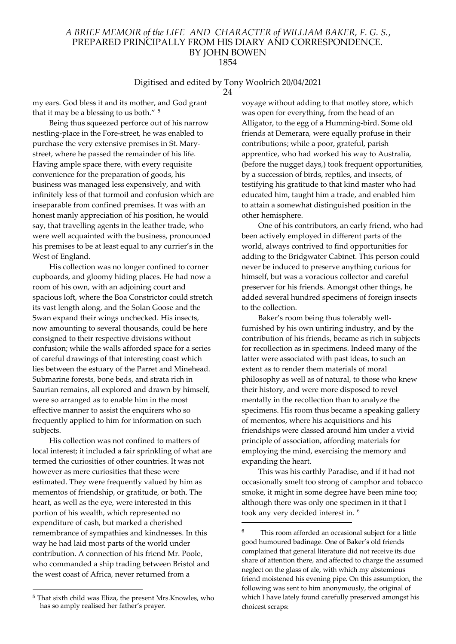#### Digitised and edited by Tony Woolrich 20/04/2021

my ears. God bless it and its mother, and God grant that it may be a blessing to us both." <sup>5</sup>

Being thus squeezed perforce out of his narrow nestling-place in the Fore-street, he was enabled to purchase the very extensive premises in St. Marystreet, where he passed the remainder of his life. Having ample space there, with every requisite convenience for the preparation of goods, his business was managed less expensively, and with infinitely less of that turmoil and confusion which are inseparable from confined premises. It was with an honest manly appreciation of his position, he would say, that travelling agents in the leather trade, who were well acquainted with the business, pronounced his premises to be at least equal to any currier's in the West of England.

His collection was no longer confined to corner cupboards, and gloomy hiding places. He had now a room of his own, with an adjoining court and spacious loft, where the Boa Constrictor could stretch its vast length along, and the Solan Goose and the Swan expand their wings unchecked. His insects, now amounting to several thousands, could be here consigned to their respective divisions without confusion; while the walls afforded space for a series of careful drawings of that interesting coast which lies between the estuary of the Parret and Minehead. Submarine forests, bone beds, and strata rich in Saurian remains, all explored and drawn by himself, were so arranged as to enable him in the most effective manner to assist the enquirers who so frequently applied to him for information on such subjects.

His collection was not confined to matters of local interest; it included a fair sprinkling of what are termed the curiosities of other countries. It was not however as mere curiosities that these were estimated. They were frequently valued by him as mementos of friendship, or gratitude, or both. The heart, as well as the eye, were interested in this portion of his wealth, which represented no expenditure of cash, but marked a cherished remembrance of sympathies and kindnesses. In this way he had laid most parts of the world under contribution. A connection of his friend Mr. Poole, who commanded a ship trading between Bristol and the west coast of Africa, never returned from a

<sup>5</sup> That sixth child was Eliza, the present Mrs.Knowles, who has so amply realised her father's prayer.

voyage without adding to that motley store, which was open for everything, from the head of an Alligator, to the egg of a Humming-bird. Some old friends at Demerara, were equally profuse in their contributions; while a poor, grateful, parish apprentice, who had worked his way to Australia, (before the nugget days,) took frequent opportunities, by a succession of birds, reptiles, and insects, of testifying his gratitude to that kind master who had educated him, taught him a trade, and enabled him to attain a somewhat distinguished position in the other hemisphere.

One of his contributors, an early friend, who had been actively employed in different parts of the world, always contrived to find opportunities for adding to the Bridgwater Cabinet. This person could never be induced to preserve anything curious for himself, but was a voracious collector and careful preserver for his friends. Amongst other things, he added several hundred specimens of foreign insects to the collection.

Baker's room being thus tolerably wellfurnished by his own untiring industry, and by the contribution of his friends, became as rich in subjects for recollection as in specimens. Indeed many of the latter were associated with past ideas, to such an extent as to render them materials of moral philosophy as well as of natural, to those who knew their history, and were more disposed to revel mentally in the recollection than to analyze the specimens. His room thus became a speaking gallery of mementos, where his acquisitions and his friendships were classed around him under a vivid principle of association, affording materials for employing the mind, exercising the memory and expanding the heart.

This was his earthly Paradise, and if it had not occasionally smelt too strong of camphor and tobacco smoke, it might in some degree have been mine too; although there was only one specimen in it that I took any very decided interest in. <sup>6</sup>

<sup>24</sup>

This room afforded an occasional subject for a little good humoured badinage. One of Baker's old friends complained that general literature did not receive its due share of attention there, and affected to charge the assumed neglect on the glass of ale, with which my abstemious friend moistened his evening pipe. On this assumption, the following was sent to him anonymously, the original of which I have lately found carefully preserved amongst his choicest scraps: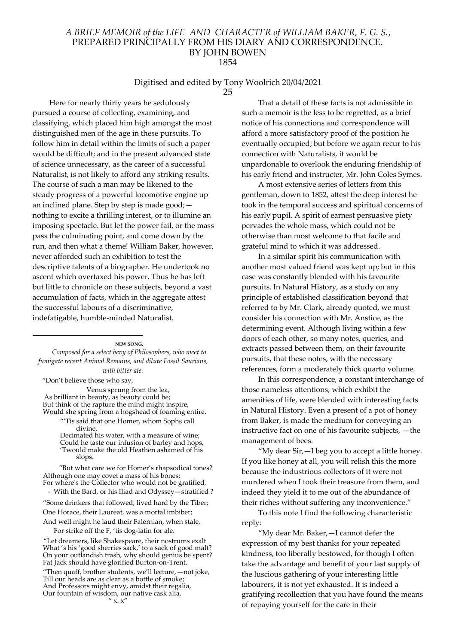#### Digitised and edited by Tony Woolrich 20/04/2021 25

Here for nearly thirty years he sedulously pursued a course of collecting, examining, and classifying, which placed him high amongst the most distinguished men of the age in these pursuits. To follow him in detail within the limits of such a paper would be difficult; and in the present advanced state of science unnecessary, as the career of a successful Naturalist, is not likely to afford any striking results. The course of such a man may be likened to the steady progress of a powerful locomotive engine up an inclined plane. Step by step is made good; nothing to excite a thrilling interest, or to illumine an imposing spectacle. But let the power fail, or the mass pass the culminating point, and come down by the run, and then what a theme! William Baker, however, never afforded such an exhibition to test the descriptive talents of a biographer. He undertook no ascent which overtaxed his power. Thus he has left but little to chronicle on these subjects, beyond a vast accumulation of facts, which in the aggregate attest the successful labours of a discriminative, indefatigable, humble-minded Naturalist.

NEW SONG,

Composed for a select bevy of Philosophers, who meet to fumigate recent Animal Remains, and dilute Fossil Saurians, with bitter ale.

"Don't believe those who say,

Venus sprung from the lea, As brilliant in beauty, as beauty could be; But think of the rapture the mind might inspire, Would she spring from a hogshead of foaming entire.

"'Tis said that one Homer, whom Sophs call divine,

Decimated his water, with a measure of wine; Could he taste our infusion of barley and hops, 'Twould make the old Heathen ashamed of his slops.

 "But what care we for Homer's rhapsodical tones? Although one may covet a mass of his bones; For where's the Collector who would not be gratified,

- With the Bard, or his Iliad and Odyssey—stratified ?

"Some drinkers that followed, lived hard by the Tiber; One Horace, their Laureat, was a mortal imbiber; And well might he laud their Falernian, when stale,

For strike off the F, 'tis dog-latin for ale.

"Let dreamers, like Shakespeare, their nostrums exalt What 's his 'good sherries sack,' to a sack of good malt? On your outlandish trash, why should genius be spent? Fat Jack should have glorified Burton-on-Trent. "Then quaff, brother students, we'll lecture,—not joke, Till our heads are as clear as a bottle of smoke; And Professors might envy, amidst their regalia, Our fountain of wisdom, our native cask alia.  $''$  x.  $x''$ 

That a detail of these facts is not admissible in such a memoir is the less to be regretted, as a brief notice of his connections and correspondence will afford a more satisfactory proof of the position he eventually occupied; but before we again recur to his connection with Naturalists, it would be unpardonable to overlook the enduring friendship of his early friend and instructer, Mr. John Coles Symes.

A most extensive series of letters from this gentleman, down to 1852, attest the deep interest he took in the temporal success and spiritual concerns of his early pupil. A spirit of earnest persuasive piety pervades the whole mass, which could not be otherwise than most welcome to that facile and grateful mind to which it was addressed.

In a similar spirit his communication with another most valued friend was kept up; but in this case was constantly blended with his favourite pursuits. In Natural History, as a study on any principle of established classification beyond that referred to by Mr. Clark, already quoted, we must consider his connection with Mr. Anstice, as the determining event. Although living within a few doors of each other, so many notes, queries, and extracts passed between them, on their favourite pursuits, that these notes, with the necessary references, form a moderately thick quarto volume.

In this correspondence, a constant interchange of those nameless attentions, which exhibit the amenities of life, were blended with interesting facts in Natural History. Even a present of a pot of honey from Baker, is made the medium for conveying an instructive fact on one of his favourite subjects, —the management of bees.

"My dear Sir,—I beg you to accept a little honey. If you like honey at all, you will relish this the more because the industrious collectors of it were not murdered when I took their treasure from them, and indeed they yield it to me out of the abundance of their riches without suffering any inconvenience."

To this note I find the following characteristic reply:

"My dear Mr. Baker,—I cannot defer the expression of my best thanks for your repeated kindness, too liberally bestowed, for though I often take the advantage and benefit of your last supply of the luscious gathering of your interesting little labourers, it is not yet exhausted. It is indeed a gratifying recollection that you have found the means of repaying yourself for the care in their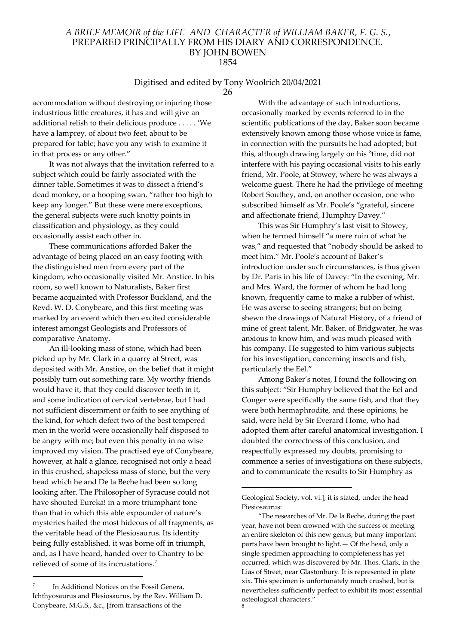# Digitised and edited by Tony Woolrich 20/04/2021

26

accommodation without destroying or injuring those industrious little creatures, it has and will give an additional relish to their delicious produce . . . . . 'We have a lamprey, of about two feet, about to be prepared for table; have you any wish to examine it in that process or any other."

It was not always that the invitation referred to a subject which could be fairly associated with the dinner table. Sometimes it was to dissect a friend's dead monkey, or a hooping swan, "rather too high to keep any longer." But these were mere exceptions, the general subjects were such knotty points in classification and physiology, as they could occasionally assist each other in.

These communications afforded Baker the advantage of being placed on an easy footing with the distinguished men from every part of the kingdom, who occasionally visited Mr. Anstice. In his room, so well known to Naturalists, Baker first became acquainted with Professor Buckland, and the Revd. W. D. Conybeare, and this first meeting was marked by an event which then excited considerable interest amongst Geologists and Professors of comparative Anatomy.

An ill-looking mass of stone, which had been picked up by Mr. Clark in a quarry at Street, was deposited with Mr. Anstice, on the belief that it might possibly turn out something rare. My worthy friends would have it, that they could discover teeth in it, and some indication of cervical vertebrae, but I had not sufficient discernment or faith to see anything of the kind, for which defect two of the best tempered men in the world were occasionally half disposed to be angry with me; but even this penalty in no wise improved my vision. The practised eye of Conybeare, however, at half a glance, recognised not only a head in this crushed, shapeless mass of stone, but the very head which he and De la Beche had been so long looking after. The Philosopher of Syracuse could not have shouted Eureka! in a more triumphant tone than that in which this able expounder of nature's mysteries hailed the most hideous of all fragments, as the veritable head of the Plesiosaurus. Its identity being fully established, it was borne off in triumph, and, as I have heard, handed over to Chantry to be relieved of some of its incrustations.<sup>7</sup>

7 In Additional Notices on the Fossil Genera, Ichthyosaurus and Plesiosaurus, by the Rev. William D. Conybeare, M.G.S., &c., [from transactions of the

With the advantage of such introductions, occasionally marked by events referred to in the scientific publications of the day, Baker soon became extensively known among those whose voice is fame, in connection with the pursuits he had adopted; but this, although drawing largely on his <sup>8</sup>time, did not interfere with his paying occasional visits to his early friend, Mr. Poole, at Stowey, where he was always a welcome guest. There he had the privilege of meeting Robert Southey, and, on another occasion, one who subscribed himself as Mr. Poole's "grateful, sincere and affectionate friend, Humphry Davey."

This was Sir Humphry's last visit to Stowey, when he termed himself "a mere ruin of what he was," and requested that "nobody should be asked to meet him." Mr. Poole's account of Baker's introduction under such circumstances, is thus given by Dr. Paris in his life of Davey: "In the evening, Mr. and Mrs. Ward, the former of whom he had long known, frequently came to make a rubber of whist. He was averse to seeing strangers; but on being shewn the drawings of Natural History, of a friend of mine of great talent, Mr. Baker, of Bridgwater, he was anxious to know him, and was much pleased with his company. He suggested to him various subjects for his investigation, concerning insects and fish, particularly the Eel."

Among Baker's notes, I found the following on this subject: "Sir Humphry believed that the Eel and Conger were specifically the same fish, and that they were both hermaphrodite, and these opinions, he said, were held by Sir Everard Home, who had adopted them after careful anatomical investigation. I doubted the correctness of this conclusion, and respectfully expressed my doubts, promising to commence a series of investigations on these subjects, and to communicate the results to Sir Humphry as

Geological Society, vol. vi.]; it is stated, under the head Piesiosaurus:

<sup>&</sup>quot;The researches of Mr. De la Beche, during the past year, have not been crowned with the success of meeting an entire skeleton of this new genus; but many important parts have been brought to light.— Of the head, only a single specimen approaching to completeness has yet occurred, which was discovered by Mr. Thos. Clark, in the Lias of Street, near Glastonbury. It is represented in plate xix. This specimen is unfortunately much crushed, but is nevertheless sufficiently perfect to exhibit its most essential osteological characters." 8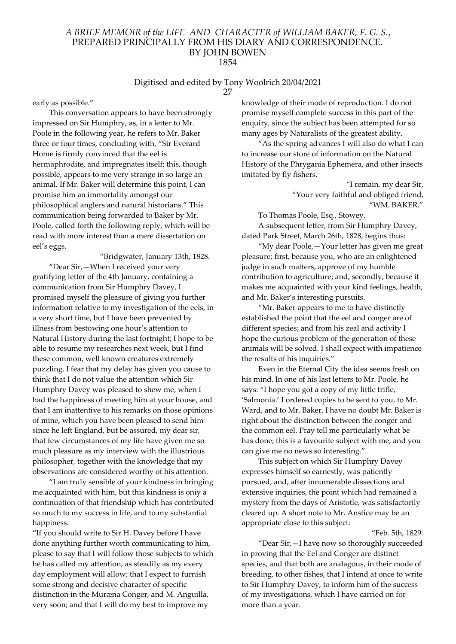#### Digitised and edited by Tony Woolrich 20/04/2021 27

early as possible."

This conversation appears to have been strongly impressed on Sir Humphry, as, in a letter to Mr. Poole in the following year, he refers to Mr. Baker three or four times, concluding with, "Sir Everard Home is firmly convinced that the eel is hermaphrodite, and impregnates itself; this, though possible, appears to me very strange in so large an animal. If Mr. Baker will determine this point, I can promise him an immortality amongst our philosophical anglers and natural historians." This communication being forwarded to Baker by Mr. Poole, called forth the following reply, which will be read with more interest than a mere dissertation on eel's eggs.

 "Bridgwater, January 13th, 1828. "Dear Sir,—When I received your very gratifying letter of the 4th January, containing a communication from Sir Humphry Davey, I promised myself the pleasure of giving you further information relative to my investigation of the eels, in a very short time, but I have been prevented by illness from bestowing one hour's attention to Natural History during the last fortnight; I hope to be able to resume my researches next week, but I find these common, well known creatures extremely puzzling. I fear that my delay has given you cause to think that I do not value the attention which Sir Humphry Davey was pleased to shew me, when I had the happiness of meeting him at your house, and that I am inattentive to his remarks on those opinions of mine, which you have been pleased to send him since he left England, but be assured, my dear sir, that few circumstances of my life have given me so much pleasure as my interview with the illustrious philosopher, together with the knowledge that my observations are considered worthy of his attention.

"I am truly sensible of your kindness in bringing me acquainted with him, but this kindness is oniy a continuation of that friendship which has contributed so much to my success in life, and to my substantial happiness.

"If you should write to Sir H. Davey before I have done anything further worth communicating to him, please to say that I will follow those subjects to which he has called my attention, as steadily as my every day employment will allow; that I expect to furnish some strong and decisive character of specific distinction in the Muræna Conger, and M. Anguilla, very soon; and that I will do my best to improve my

knowledge of their mode of reproduction. I do not promise myself complete success in this part of the enquiry, since the subject has been attempted for so many ages by Naturalists of the greatest ability.

"As the spring advances I will also do what I can to increase our store of information on the Natural History of the Phrygania Ephemera, and other insects imitated by fly fishers.

> "I remain, my dear Sir, "Your very faithful and obliged friend, "WM. BAKER."

To Thomas Poole, Esq., Stowey.

A subsequent letter, from Sir Humphry Davey, dated Park Street, March 26th, 1828, begins thus:

"My dear Poole,—Your letter has given me great pleasure; first, because you, who are an enlightened judge in such matters, approve of my humble contribution to agriculture; and, secondly, because it makes me acquainted with your kind feelings, health, and Mr. Baker's interesting pursuits.

"Mr. Baker appears to me to have distinctly established the point that the eel and conger are of different species; and from his zeal and activity I hope the curious problem of the generation of these animals will be solved. I shall expect with impatience the results of his inquiries."

Even in the Eternal City the idea seems fresh on his mind. In one of his last letters to Mr. Poole, he says: "I hope you got a copy of my little trifle, 'Salmonia.' I ordered copies to be sent to you, to Mr. Ward, and to Mr. Baker. I have no doubt Mr. Baker is right about the distinction between the conger and the common eel. Pray tell me particularly what be has done; this is a favourite subject with me, and you can give me no news so interesting."

This subject on which Sir Humphry Davey expresses himself so earnestly, was patiently pursued, and, after innumerable dissections and extensive inquiries, the point which had remained a mystery from the days of Aristotle, was satisfactorily cleared up. A short note to Mr. Anstice may be an appropriate close to this subject:

"Feb. 5th, 1829.

"Dear Sir,—I have now so thoroughly succeeded in proving that the Eel and Conger are distinct species, and that both are analagous, in their mode of breeding, to other fishes, that I intend at once to write to Sir Humphry Davey, to inform him of the success of my investigations, which I have carried on for more than a year.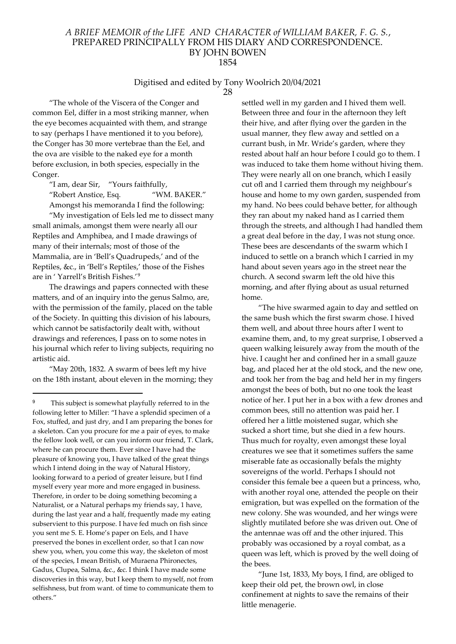# Digitised and edited by Tony Woolrich 20/04/2021

28

"The whole of the Viscera of the Conger and common Eel, differ in a most striking manner, when the eye becomes acquainted with them, and strange to say (perhaps I have mentioned it to you before), the Conger has 30 more vertebrae than the Eel, and the ova are visible to the naked eye for a month before exclusion, in both species, especially in the Conger.

"I am, dear Sir, "Yours faithfully,

"Robert Anstice, Esq. "WM. BAKER." Amongst his memoranda I find the following:

"My investigation of Eels led me to dissect many small animals, amongst them were nearly all our Reptiles and Amphibea, and I made drawings of many of their internals; most of those of the Mammalia, are in 'Bell's Quadrupeds,' and of the Reptiles, &c., in 'Bell's Reptiles,' those of the Fishes are in ' Yarrell's British Fishes.'<sup>9</sup>

The drawings and papers connected with these matters, and of an inquiry into the genus Salmo, are, with the permission of the family, placed on the table of the Society. In quitting this division of his labours, which cannot be satisfactorily dealt with, without drawings and references, I pass on to some notes in his journal which refer to living subjects, requiring no artistic aid.

"May 20th, 1832. A swarm of bees left my hive on the 18th instant, about eleven in the morning; they

settled well in my garden and I hived them well. Between three and four in the afternoon they left their hive, and after flying over the garden in the usual manner, they flew away and settled on a currant bush, in Mr. Wride's garden, where they rested about half an hour before I could go to them. I was induced to take them home without hiving them. They were nearly all on one branch, which I easily cut ofl and I carried them through my neighbour's house and home to my own garden, suspended from my hand. No bees could behave better, for although they ran about my naked hand as I carried them through the streets, and although I had handled them a great deal before in the day, I was not stung once. These bees are descendants of the swarm which I induced to settle on a branch which I carried in my hand about seven years ago in the street near the church. A second swarm left the old hive this morning, and after flying about as usual returned home.

"The hive swarmed again to day and settled on the same bush which the first swarm chose. I hived them well, and about three hours after I went to examine them, and, to my great surprise, I observed a queen walking leisurely away from the mouth of the hive. I caught her and confined her in a small gauze bag, and placed her at the old stock, and the new one, and took her from the bag and held her in my fingers amongst the bees of both, but no one took the least notice of her. I put her in a box with a few drones and common bees, still no attention was paid her. I offered her a little moistened sugar, which she sucked a short time, but she died in a few hours. Thus much for royalty, even amongst these loyal creatures we see that it sometimes suffers the same miserable fate as occasionally befals the mighty sovereigns of the world. Perhaps I should not consider this female bee a queen but a princess, who, with another royal one, attended the people on their emigration, but was expelled on the formation of the new colony. She was wounded, and her wings were slightly mutilated before she was driven out. One of the antennae was off and the other injured. This probably was occasioned by a royal combat, as a queen was left, which is proved by the well doing of the bees.

"June 1st, 1833, My boys, I find, are obliged to keep their old pet, the brown owl, in close confinement at nights to save the remains of their little menagerie.

<sup>9</sup> This subject is somewhat playfully referred to in the following letter to Miller: "I have a splendid specimen of a Fox, stuffed, and just dry, and I am preparing the bones for a skeleton. Can you procure for me a pair of eyes, to make the fellow look well, or can you inform our friend, T. Clark, where he can procure them. Ever since I have had the pleasure of knowing you, I have talked of the great things which I intend doing in the way of Natural History, looking forward to a period of greater leisure, but I find myself every year more and more engaged in business. Therefore, in order to be doing something becoming a Naturalist, or a Natural perhaps my friends say, 1 have, during the last year and a half, frequently made my eating subservient to this purpose. I have fed much on fish since you sent me S. E. Home's paper on Eels, and I have preserved the bones in excellent order, so that I can now shew you, when, you come this way, the skeleton of most of the species, I mean British, of Muraena Phironectes, Gadus, Clupea, Salma, &c., &c. I think I have made some discoveries in this way, but I keep them to myself, not from selfishness, but from want. of time to communicate them to others."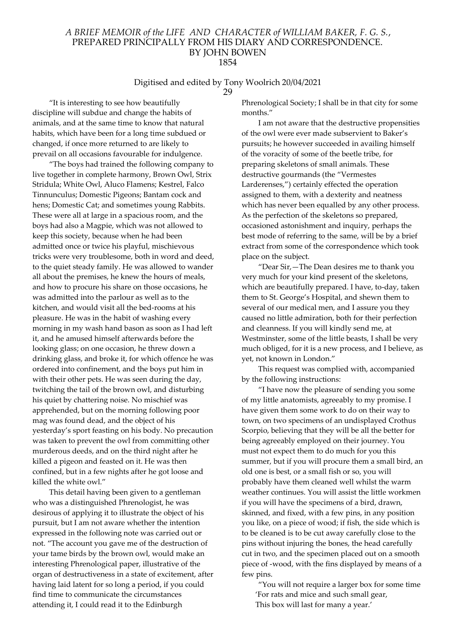# Digitised and edited by Tony Woolrich 20/04/2021

29

"It is interesting to see how beautifully discipline will subdue and change the habits of animals, and at the same time to know that natural habits, which have been for a long time subdued or changed, if once more returned to are likely to prevail on all occasions favourable for indulgence.

"The boys had trained the following company to live together in complete harmony, Brown Owl, Strix Stridula; White Owl, Aluco Flamens; Kestrel, Falco Tinnunculus; Domestic Pigeons; Bantam cock and hens; Domestic Cat; and sometimes young Rabbits. These were all at large in a spacious room, and the boys had also a Magpie, which was not allowed to keep this society, because when he had been admitted once or twice his playful, mischievous tricks were very troublesome, both in word and deed, to the quiet steady family. He was allowed to wander all about the premises, he knew the hours of meals, and how to procure his share on those occasions, he was admitted into the parlour as well as to the kitchen, and would visit all the bed-rooms at his pleasure. He was in the habit of washing every morning in my wash hand bason as soon as I had left it, and he amused himself afterwards before the looking glass; on one occasion, he threw down a drinking glass, and broke it, for which offence he was ordered into confinement, and the boys put him in with their other pets. He was seen during the day, twitching the tail of the brown owl, and disturbing his quiet by chattering noise. No mischief was apprehended, but on the morning following poor mag was found dead, and the object of his yesterday's sport feasting on his body. No precaution was taken to prevent the owl from committing other murderous deeds, and on the third night after he killed a pigeon and feasted on it. He was then confined, but in a few nights after he got loose and killed the white owl."

This detail having been given to a gentleman who was a distinguished Phrenologist, he was desirous of applying it to illustrate the object of his pursuit, but I am not aware whether the intention expressed in the following note was carried out or not. "The account you gave me of the destruction of your tame birds by the brown owl, would make an interesting Phrenological paper, illustrative of the organ of destructiveness in a state of excitement, after having laid latent for so long a period, if you could find time to communicate the circumstances attending it, I could read it to the Edinburgh

Phrenological Society; I shall be in that city for some months."

I am not aware that the destructive propensities of the owl were ever made subservient to Baker's pursuits; he however succeeded in availing himself of the voracity of some of the beetle tribe, for preparing skeletons of small animals. These destructive gourmands (the "Vermestes Larderenses,") certainly effected the operation assigned to them, with a dexterity and neatness which has never been equalled by any other process. As the perfection of the skeletons so prepared, occasioned astonishment and inquiry, perhaps the best mode of referring to the same, will be by a brief extract from some of the correspondence which took place on the subject.

"Dear Sir,—The Dean desires me to thank you very much for your kind present of the skeletons, which are beautifully prepared. I have, to-day, taken them to St. George's Hospital, and shewn them to several of our medical men, and I assure you they caused no little admiration, both for their perfection and cleanness. If you will kindly send me, at Westminster, some of the little beasts, I shall be very much obliged, for it is a new process, and I believe, as yet, not known in London."

This request was complied with, accompanied by the following instructions:

"I have now the pleasure of sending you some of my little anatomists, agreeably to my promise. I have given them some work to do on their way to town, on two specimens of an undisplayed Crothus Scorpio, believing that they will be all the better for being agreeably employed on their journey. You must not expect them to do much for you this summer, but if you will procure them a small bird, an old one is best, or a small fish or so, you will probably have them cleaned well whilst the warm weather continues. You will assist the little workmen if you will have the specimens of a bird, drawn, skinned, and fixed, with a few pins, in any position you like, on a piece of wood; if fish, the side which is to be cleaned is to be cut away carefully close to the pins without injuring the bones, the head carefully cut in two, and the specimen placed out on a smooth piece of -wood, with the fins displayed by means of a few pins.

"You will not require a larger box for some time 'For rats and mice and such small gear, This box will last for many a year.'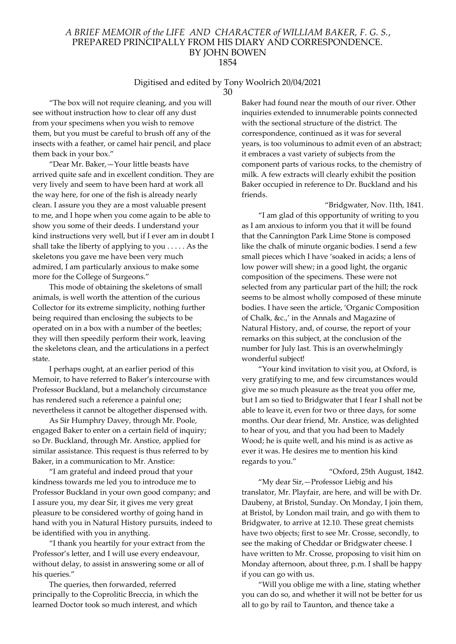# Digitised and edited by Tony Woolrich 20/04/2021

30

"The box will not require cleaning, and you will see without instruction how to clear off any dust from your specimens when you wish to remove them, but you must be careful to brush off any of the insects with a feather, or camel hair pencil, and place them back in your box."

"Dear Mr. Baker,—Your little beasts have arrived quite safe and in excellent condition. They are very lively and seem to have been hard at work all the way here, for one of the fish is already nearly clean. I assure you they are a most valuable present to me, and I hope when you come again to be able to show you some of their deeds. I understand your kind instructions very well, but if I ever am in doubt I shall take the liberty of applying to you . . . . . As the skeletons you gave me have been very much admired, I am particularly anxious to make some more for the College of Surgeons."

This mode of obtaining the skeletons of small animals, is well worth the attention of the curious Collector for its extreme simplicity, nothing further being required than enclosing the subjects to be operated on in a box with a number of the beetles; they will then speedily perform their work, leaving the skeletons clean, and the articulations in a perfect state.

I perhaps ought, at an earlier period of this Memoir, to have referred to Baker's intercourse with Professor Buckland, but a melancholy circumstance has rendered such a reference a painful one; nevertheless it cannot be altogether dispensed with.

As Sir Humphry Davey, through Mr. Poole, engaged Baker to enter on a certain field of inquiry; so Dr. Buckland, through Mr. Anstice, applied for similar assistance. This request is thus referred to by Baker, in a communication to Mr. Anstice:

"I am grateful and indeed proud that your kindness towards me led you to introduce me to Professor Buckland in your own good company; and I assure you, my dear Sir, it gives me very great pleasure to be considered worthy of going hand in hand with you in Natural History pursuits, indeed to be identified with you in anything.

"I thank you heartily for your extract from the Professor's letter, and I will use every endeavour, without delay, to assist in answering some or all of his queries."

The queries, then forwarded, referred principally to the Coprolitic Breccia, in which the learned Doctor took so much interest, and which

Baker had found near the mouth of our river. Other inquiries extended to innumerable points connected with the sectional structure of the district. The correspondence, continued as it was for several years, is too voluminous to admit even of an abstract; it embraces a vast variety of subjects from the component parts of various rocks, to the chemistry of milk. A few extracts will clearly exhibit the position Baker occupied in reference to Dr. Buckland and his friends.

"Bridgwater, Nov. l1th, 1841. "I am glad of this opportunity of writing to you as I am anxious to inform you that it will be found that the Cannington Park Lime Stone is composed like the chalk of minute organic bodies. I send a few small pieces which I have 'soaked in acids; a lens of low power will shew; in a good light, the organic composition of the specimens. These were not selected from any particular part of the hill; the rock seems to be almost wholly composed of these minute bodies. I have seen the article, 'Organic Composition of Chalk, &c.,' in the Annals and Magazine of Natural History, and, of course, the report of your remarks on this subject, at the conclusion of the number for July last. This is an overwhelmingly wonderful subject!

"Your kind invitation to visit you, at Oxford, is very gratifying to me, and few circumstances would give me so much pleasure as the treat you offer me, but I am so tied to Bridgwater that I fear I shall not be able to leave it, even for two or three days, for some months. Our dear friend, Mr. Anstice, was delighted to hear of you, and that you had been to Madely Wood; he is quite well, and his mind is as active as ever it was. He desires me to mention his kind regards to you."

# "Oxford, 25th August, 1842.

"My dear Sir,—Professor Liebig and his translator, Mr. Playfair, are here, and will be with Dr. Daubeny, at Bristol, Sunday. On Monday, I join them, at Bristol, by London mail train, and go with them to Bridgwater, to arrive at 12.10. These great chemists have two objects; first to see Mr. Crosse, secondly, to see the making of Cheddar or Bridgwater cheese. I have written to Mr. Crosse, proposing to visit him on Monday afternoon, about three, p.m. I shall be happy if you can go with us.

"Will you oblige me with a line, stating whether you can do so, and whether it will not be better for us all to go by rail to Taunton, and thence take a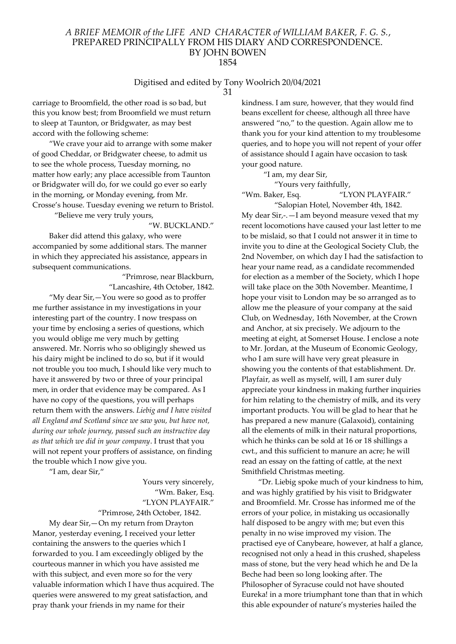# Digitised and edited by Tony Woolrich 20/04/2021

31

carriage to Broomfield, the other road is so bad, but this you know best; from Broomfield we must return to sleep at Taunton, or Bridgwater, as may best accord with the following scheme:

"We crave your aid to arrange with some maker of good Cheddar, or Bridgwater cheese, to admit us to see the whole process, Tuesday morning, no matter how early; any place accessible from Taunton or Bridgwater will do, for we could go ever so early in the morning, or Monday evening, from Mr. Crosse's house. Tuesday evening we return to Bristol.

"Believe me very truly yours,

"W. BUCKLAND."

Baker did attend this galaxy, who were accompanied by some additional stars. The manner in which they appreciated his assistance, appears in subsequent communications.

> "Primrose, near Blackburn, "Lancashire, 4th October, 1842.

"My dear Sir,—You were so good as to proffer me further assistance in my investigations in your interesting part of the country. I now trespass on your time by enclosing a series of questions, which you would oblige me very much by getting answered. Mr. Norris who so obligingly shewed us his dairy might be inclined to do so, but if it would not trouble you too much, I should like very much to have it answered by two or three of your principal men, in order that evidence may be compared. As I have no copy of the questions, you will perhaps return them with the answers. Liebig and I have visited all England and Scotland since we saw you, but have not, during our whole journey, passed such an instructive day as that which we did in your company. I trust that you will not repent your proffers of assistance, on finding the trouble which I now give you.

"I am, dear Sir,"

Yours very sincerely, "Wm. Baker, Esq. "LYON PLAYFAIR."

"Primrose, 24th October, 1842.

My dear Sir,—On my return from Drayton Manor, yesterday evening, I received your letter containing the answers to the queries which I forwarded to you. I am exceedingly obliged by the courteous manner in which you have assisted me with this subject, and even more so for the very valuable information which I have thus acquired. The queries were answered to my great satisfaction, and pray thank your friends in my name for their

kindness. I am sure, however, that they would find beans excellent for cheese, although all three have answered "no," to the question. Again allow me to thank you for your kind attention to my troublesome queries, and to hope you will not repent of your offer of assistance should I again have occasion to task your good nature.

> "I am, my dear Sir, "Yours very faithfully,

"Wm. Baker, Esq. "LYON PLAYFAIR."

"Salopian Hotel, November 4th, 1842. My dear Sir,-.—I am beyond measure vexed that my recent locomotions have caused your last letter to me to be mislaid, so that I could not answer it in time to invite you to dine at the Geological Society Club, the 2nd November, on which day I had the satisfaction to hear your name read, as a candidate recommended for election as a member of the Society, which I hope will take place on the 30th November. Meantime, I hope your visit to London may be so arranged as to allow me the pleasure of your company at the said Club, on Wednesday, 16th November, at the Crown and Anchor, at six precisely. We adjourn to the meeting at eight, at Somerset House. I enclose a note to Mr. Jordan, at the Museum of Economic Geology, who I am sure will have very great pleasure in showing you the contents of that establishment. Dr. Playfair, as well as myself, will, I am surer duly appreciate your kindness in making further inquiries for him relating to the chemistry of milk, and its very important products. You will be glad to hear that he has prepared a new manure (Galaxoid), containing all the elements of milk in their natural proportions, which he thinks can be sold at 16 or 18 shillings a cwt., and this sufficient to manure an acre; he will read an essay on the fatting of cattle, at the next Smithfield Christmas meeting.

"Dr. Liebig spoke much of your kindness to him, and was highly gratified by his visit to Bridgwater and Broomfield. Mr. Crosse has informed me of the errors of your police, in mistaking us occasionally half disposed to be angry with me; but even this penalty in no wise improved my vision. The practised eye of Canybeare, however, at half a glance, recognised not only a head in this crushed, shapeless mass of stone, but the very head which he and De la Beche had been so long looking after. The Philosopher of Syracuse could not have shouted Eureka! in a more triumphant tone than that in which this able expounder of nature's mysteries hailed the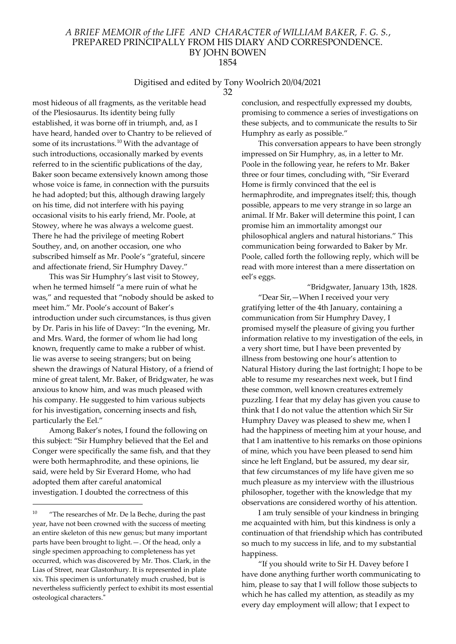#### Digitised and edited by Tony Woolrich 20/04/2021 32

most hideous of all fragments, as the veritable head of the Plesiosaurus. Its identity being fully established, it was borne off in triumph, and, as I have heard, handed over to Chantry to be relieved of some of its incrustations.<sup>10</sup> With the advantage of such introductions, occasionally marked by events referred to in the scientific publications of the day, Baker soon became extensively known among those whose voice is fame, in connection with the pursuits he had adopted; but this, although drawing largely on his time, did not interfere with his paying occasional visits to his early friend, Mr. Poole, at Stowey, where he was always a welcome guest. There he had the privilege of meeting Robert Southey, and, on another occasion, one who subscribed himself as Mr. Poole's "grateful, sincere and affectionate friend, Sir Humphry Davey."

This was Sir Humphry's last visit to Stowey, when he termed himself "a mere ruin of what he was," and requested that "nobody should be asked to meet him." Mr. Poole's account of Baker's introduction under such circumstances, is thus given by Dr. Paris in his life of Davey: "In the evening, Mr. and Mrs. Ward, the former of whom lie had long known, frequently came to make a rubber of whist. lie was averse to seeing strangers; but on being shewn the drawings of Natural History, of a friend of mine of great talent, Mr. Baker, of Bridgwater, he was anxious to know him, and was much pleased with his company. He suggested to him various subjects for his investigation, concerning insects and fish, particularly the Eel."

Among Baker's notes, I found the following on this subject: "Sir Humphry believed that the Eel and Conger were specifically the same fish, and that they were both hermaphrodite, and these opinions, lie said, were held by Sir Everard Home, who had adopted them after careful anatomical investigation. I doubted the correctness of this

conclusion, and respectfully expressed my doubts, promising to commence a series of investigations on these subjects, and to communicate the results to Sir Humphry as early as possible."

This conversation appears to have been strongly impressed on Sir Humphry, as, in a letter to Mr. Poole in the following year, he refers to Mr. Baker three or four times, concluding with, "Sir Everard Home is firmly convinced that the eel is hermaphrodite, and impregnates itself; this, though possible, appears to me very strange in so large an animal. If Mr. Baker will determine this point, I can promise him an immortality amongst our philosophical anglers and natural historians." This communication being forwarded to Baker by Mr. Poole, called forth the following reply, which will be read with more interest than a mere dissertation on eel's eggs.

"Bridgwater, January 13th, 1828. "Dear Sir,—When I received your very gratifying letter of the 4th January, containing a communication from Sir Humphry Davey, I promised myself the pleasure of giving you further information relative to my investigation of the eels, in a very short time, but I have been prevented by illness from bestowing one hour's attention to Natural History during the last fortnight; I hope to be able to resume my researches next week, but I find these common, well known creatures extremely puzzling. I fear that my delay has given you cause to think that I do not value the attention which Sir Sir Humphry Davey was pleased to shew me, when I had the happiness of meeting him at your house, and that I am inattentive to his remarks on those opinions of mine, which you have been pleased to send him since he left England, but be assured, my dear sir, that few circumstances of my life have given me so much pleasure as my interview with the illustrious philosopher, together with the knowledge that my observations are considered worthy of his attention.

I am truly sensible of your kindness in bringing me acquainted with him, but this kindness is only a continuation of that friendship which has contributed so much to my success in life, and to my substantial happiness.

"If you should write to Sir H. Davey before I have done anything further worth communicating to him, please to say that I will follow those subjects to which he has called my attention, as steadily as my every day employment will allow; that I expect to

<sup>&</sup>lt;sup>10</sup> "The researches of Mr. De la Beche, during the past year, have not been crowned with the success of meeting an entire skeleton of this new genus; but many important parts have been brought to light.—. Of the head, only a single specimen approaching to completeness has yet occurred, which was discovered by Mr. Thos. Clark, in the Lias of Street, near Glastonhury. It is represented in plate xix. This specimen is unfortunately much crushed, but is nevertheless sufficiently perfect to exhibit its most essential osteological characters."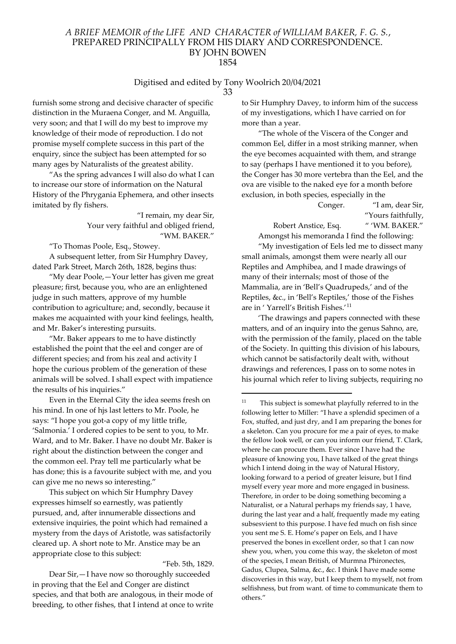#### Digitised and edited by Tony Woolrich 20/04/2021 33

furnish some strong and decisive character of specific distinction in the Muraena Conger, and M. Anguilla, very soon; and that I will do my best to improve my knowledge of their mode of reproduction. I do not promise myself complete success in this part of the enquiry, since the subject has been attempted for so many ages by Naturalists of the greatest ability.

"As the spring advances I will also do what I can to increase our store of information on the Natural History of the Phrygania Ephemera, and other insects imitated by fly fishers.

> "I remain, my dear Sir, Your very faithful and obliged friend, "WM. BAKER."

"To Thomas Poole, Esq., Stowey.

A subsequent letter, from Sir Humphry Davey, dated Park Street, March 26th, 1828, begins thus:

"My dear Poole,—Your letter has given me great pleasure; first, because you, who are an enlightened judge in such matters, approve of my humble contribution to agriculture; and, secondly, because it makes me acquainted with your kind feelings, health, and Mr. Baker's interesting pursuits.

"Mr. Baker appears to me to have distinctly established the point that the eel and conger are of different species; and from his zeal and activity I hope the curious problem of the generation of these animals will be solved. I shall expect with impatience the results of his inquiries."

Even in the Eternal City the idea seems fresh on his mind. In one of hjs last letters to Mr. Poole, he says: "I hope you got-a copy of my little trifle, 'Salmonia.' I ordered copies to be sent to you, to Mr. Ward, and to Mr. Baker. I have no doubt Mr. Baker is right about the distinction between the conger and the common eel. Pray tell me particularly what be has done; this is a favourite subject with me, and you can give me no news so interesting."

This subject on which Sir Humphry Davey expresses himself so earnestly, was patiently pursued, and, after innumerable dissections and extensive inquiries, the point which had remained a mystery from the days of Aristotle, was satisfactorily cleared up. A short note to Mr. Anstice may be an appropriate close to this subject:

"Feb. 5th, 1829.

Dear Sir,—I have now so thoroughly succeeded in proving that the Eel and Conger are distinct species, and that both are analogous, in their mode of breeding, to other fishes, that I intend at once to write

to Sir Humphry Davey, to inform him of the success of my investigations, which I have carried on for more than a year.

"The whole of the Viscera of the Conger and common Eel, differ in a most striking manner, when the eye becomes acquainted with them, and strange to say (perhaps I have mentioned it to you before), the Conger has 30 more vertebra than the Eel, and the ova are visible to the naked eye for a month before exclusion, in both species, especially in the

Conger. "I am, dear Sir, "Yours faithfully, Robert Anstice, Esq. " 'WM. BAKER."

Amongst his memoranda I find the following:

"My investigation of Eels led me to dissect many small animals, amongst them were nearly all our Reptiles and Amphibea, and I made drawings of many of their internals; most of those of the Mammalia, are in 'Bell's Quadrupeds,' and of the Reptiles, &c., in 'Bell's Reptiles,' those of the Fishes are in ' Yarrell's British Fishes.'<sup>11</sup>

'The drawings and papers connected with these matters, and of an inquiry into the genus Sahno, are, with the permission of the family, placed on the table of the Society. In quitting this division of his labours, which cannot be satisfactorily dealt with, without drawings and references, I pass on to some notes in his journal which refer to living subjects, requiring no

<sup>11</sup> This subject is somewhat playfully referred to in the following letter to Miller: "I have a splendid specimen of a Fox, stuffed, and just dry, and I am preparing the bones for a skeleton. Can you procure for me a pair of eyes, to make the fellow look well, or can you inform our friend, T. Clark, where he can procure them. Ever since I have had the pleasure of knowing you, I have talked of the great things which I intend doing in the way of Natural History, looking forward to a period of greater leisure, but I find myself every year more and more engaged in business. Therefore, in order to be doing something becoming a Naturalist, or a Natural perhaps my friends say, 1 have, during the last year and a half, frequently made my eating subsesvient to this purpose. I have fed much on fish since you sent me S. E. Home's paper on Eels, and I have preserved the bones in excellent order, so that 1 can now shew you, when, you come this way, the skeleton of most of the species, I mean British, of Murmna Phironectes, Gadus, Clupea, Salma, &c., &c. I think I have made some discoveries in this way, but I keep them to myself, not from selfishness, but from want. of time to communicate them to others."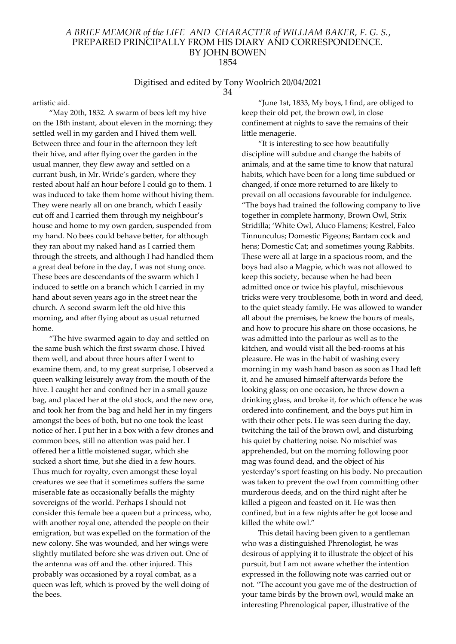#### Digitised and edited by Tony Woolrich 20/04/2021 34

artistic aid.

"May 20th, 1832. A swarm of bees left my hive on the 18th instant, about eleven in the morning; they settled well in my garden and I hived them well. Between three and four in the afternoon they left their hive, and after flying over the garden in the usual manner, they flew away and settled on a currant bush, in Mr. Wride's garden, where they rested about half an hour before I could go to them. 1 was induced to take them home without hiving them. They were nearly all on one branch, which I easily cut off and I carried them through my neighbour's house and home to my own garden, suspended from my hand. No bees could behave better, for although they ran about my naked hand as I carried them through the streets, and although I had handled them a great deal before in the day, I was not stung once. These bees are descendants of the swarm which I induced to settle on a branch which I carried in my hand about seven years ago in the street near the church. A second swarm left the old hive this morning, and after flying about as usual returned home.

"The hive swarmed again to day and settled on the same bush which the first swarm chose. I hived them well, and about three hours after I went to examine them, and, to my great surprise, I observed a queen walking leisurely away from the mouth of the hive. I caught her and confined her in a small gauze bag, and placed her at the old stock, and the new one, and took her from the bag and held her in my fingers amongst the bees of both, but no one took the least notice of her. I put her in a box with a few drones and common bees, still no attention was paid her. I offered her a little moistened sugar, which she sucked a short time, but she died in a few hours. Thus much for royalty, even amongst these loyal creatures we see that it sometimes suffers the same miserable fate as occasionally befalls the mighty sovereigns of the world. Perhaps I should not consider this female bee a queen but a princess, who, with another royal one, attended the people on their emigration, but was expelled on the formation of the new colony. She was wounded, and her wings were slightly mutilated before she was driven out. One of the antenna was off and the. other injured. This probably was occasioned by a royal combat, as a queen was left, which is proved by the well doing of the bees.

"June 1st, 1833, My boys, I find, are obliged to keep their old pet, the brown owl, in close confinement at nights to save the remains of their little menagerie.

"It is interesting to see how beautifully discipline will subdue and change the habits of animals, and at the same time to know that natural habits, which have been for a long time subdued or changed, if once more returned to are likely to prevail on all occasions favourable for indulgence. "The boys had trained the following company to live together in complete harmony, Brown Owl, Strix Stridilla; 'White Owl, Aluco Flamens; Kestrel, Falco Tinnunculus; Domestic Pigeons; Bantam cock and hens; Domestic Cat; and sometimes young Rabbits. These were all at large in a spacious room, and the boys had also a Magpie, which was not allowed to keep this society, because when he had been admitted once or twice his playful, mischievous tricks were very troublesome, both in word and deed, to the quiet steady family. He was allowed to wander all about the premises, he knew the hours of meals, and how to procure his share on those occasions, he was admitted into the parlour as well as to the kitchen, and would visit all the bed-rooms at his pleasure. He was in the habit of washing every morning in my wash hand bason as soon as I had left it, and he amused himself afterwards before the looking glass; on one occasion, he threw down a drinking glass, and broke it, for which offence he was ordered into confinement, and the boys put him in with their other pets. He was seen during the day, twitching the tail of the brown owl, and disturbing his quiet by chattering noise. No mischief was apprehended, but on the morning following poor mag was found dead, and the object of his yesterday's sport feasting on his body. No precaution was taken to prevent the owl from committing other murderous deeds, and on the third night after he killed a pigeon and feasted on it. He was then confined, but in a few nights after he got loose and killed the white owl."

This detail having been given to a gentleman who was a distinguished Phrenologist, he was desirous of applying it to illustrate the object of his pursuit, but I am not aware whether the intention expressed in the following note was carried out or not. "The account you gave me of the destruction of your tame birds by the brown owl, would make an interesting Phrenological paper, illustrative of the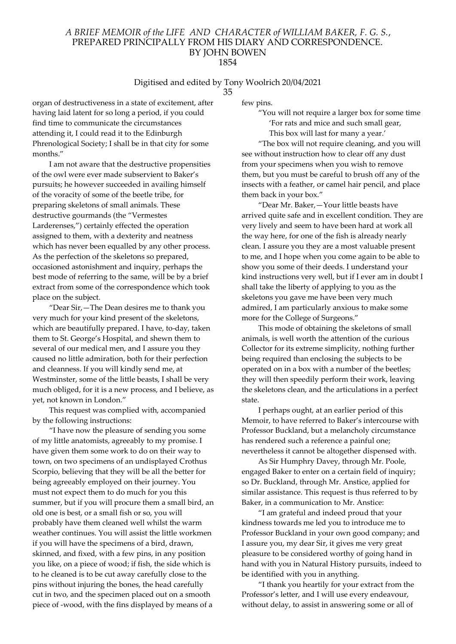# Digitised and edited by Tony Woolrich 20/04/2021

35

organ of destructiveness in a state of excitement, after having laid latent for so long a period, if you could find time to communicate the circumstances attending it, I could read it to the Edinburgh Phrenological Society; I shall be in that city for some months."

I am not aware that the destructive propensities of the owl were ever made subservient to Baker's pursuits; he however succeeded in availing himself of the voracity of some of the beetle tribe, for preparing skeletons of small animals. These destructive gourmands (the "Vermestes Larderenses,") certainly effected the operation assigned to them, with a dexterity and neatness which has never been equalled by any other process. As the perfection of the skeletons so prepared, occasioned astonishment and inquiry, perhaps the best mode of referring to the same, will be by a brief extract from some of the correspondence which took place on the subject.

"Dear Sir,—The Dean desires me to thank you very much for your kind present of the skeletons, which are beautifully prepared. I have, to-day, taken them to St. George's Hospital, and shewn them to several of our medical men, and I assure you they caused no little admiration, both for their perfection and cleanness. If you will kindly send me, at Westminster, some of the little beasts, I shall be very much obliged, for it is a new process, and I believe, as yet, not known in London."

This request was complied with, accompanied by the following instructions:

"I have now the pleasure of sending you some of my little anatomists, agreeably to my promise. I have given them some work to do on their way to town, on two specimens of an undisplayed Crothus Scorpio, believing that they will be all the better for being agreeably employed on their journey. You must not expect them to do much for you this summer, but if you will procure them a small bird, an old one is best, or a small fish or so, you will probably have them cleaned well whilst the warm weather continues. You will assist the little workmen if you will have the specimens of a bird, drawn, skinned, and fixed, with a few pins, in any position you like, on a piece of wood; if fish, the side which is to he cleaned is to be cut away carefully close to the pins without injuring the bones, the head carefully cut in two, and the specimen placed out on a smooth piece of -wood, with the fins displayed by means of a

few pins.

"You will not require a larger box for some time 'For rats and mice and such small gear, This box will last for many a year.'

"The box will not require cleaning, and you will see without instruction how to clear off any dust from your specimens when you wish to remove them, but you must be careful to brush off any of the insects with a feather, or camel hair pencil, and place them back in your box."

"Dear Mr. Baker,—Your little beasts have arrived quite safe and in excellent condition. They are very lively and seem to have been hard at work all the way here, for one of the fish is already nearly clean. I assure you they are a most valuable present to me, and I hope when you come again to be able to show you some of their deeds. I understand your kind instructions very well, but if I ever am in doubt I shall take the liberty of applying to you as the skeletons you gave me have been very much admired, I am particularly anxious to make some more for the College of Surgeons."

This mode of obtaining the skeletons of small animals, is well worth the attention of the curious Collector for its extreme simplicity, nothing further being required than enclosing the subjects to be operated on in a box with a number of the beetles; they will then speedily perform their work, leaving the skeletons clean, and the articulations in a perfect state.

I perhaps ought, at an earlier period of this Memoir, to have referred to Baker's intercourse with Professor Buckland, but a melancholy circumstance has rendered such a reference a painful one; nevertheless it cannot be altogether dispensed with.

As Sir Humphry Davey, through Mr. Poole, engaged Baker to enter on a certain field of inquiry; so Dr. Buckland, through Mr. Anstice, applied for similar assistance. This request is thus referred to by Baker, in a communication to Mr. Anstice:

"I am grateful and indeed proud that your kindness towards me led you to introduce me to Professor Buckland in your own good company; and I assure you, my dear Sir, it gives me very great pleasure to be considered worthy of going hand in hand with you in Natural History pursuits, indeed to be identified with you in anything.

"I thank you heartily for your extract from the Professor's letter, and I will use every endeavour, without delay, to assist in answering some or all of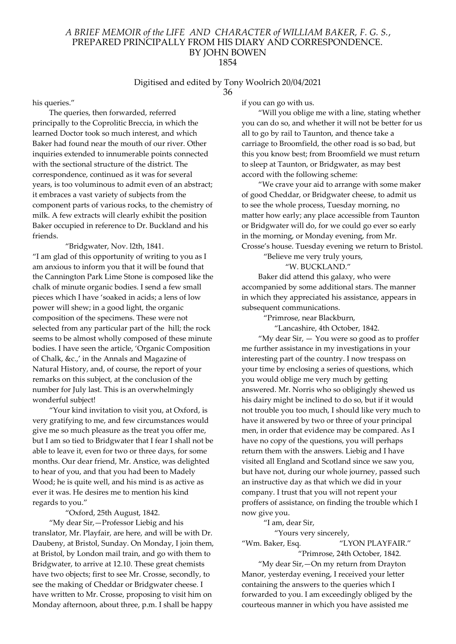#### Digitised and edited by Tony Woolrich 20/04/2021 36

his queries."

The queries, then forwarded, referred principally to the Coprolitic Breccia, in which the learned Doctor took so much interest, and which Baker had found near the mouth of our river. Other inquiries extended to innumerable points connected with the sectional structure of the district. The correspondence, continued as it was for several years, is too voluminous to admit even of an abstract; it embraces a vast variety of subjects from the component parts of various rocks, to the chemistry of milk. A few extracts will clearly exhibit the position Baker occupied in reference to Dr. Buckland and his friends.

"Bridgwater, Nov. l2th, 1841. "I am glad of this opportunity of writing to you as I am anxious to inform you that it will be found that the Cannington Park Lime Stone is composed like the chalk of minute organic bodies. I send a few small pieces which I have 'soaked in acids; a lens of low power will shew; in a good light, the organic composition of the specimens. These were not selected from any particular part of the hill; the rock seems to be almost wholly composed of these minute bodies. I have seen the article, 'Organic Composition of Chalk, &c.,' in the Annals and Magazine of Natural History, and, of course, the report of your remarks on this subject, at the conclusion of the number for July last. This is an overwhelmingly wonderful subject!

"Your kind invitation to visit you, at Oxford, is very gratifying to me, and few circumstances would give me so much pleasure as the treat you offer me, but I am so tied to Bridgwater that I fear I shall not be able to leave it, even for two or three days, for some months. Our dear friend, Mr. Anstice, was delighted to hear of you, and that you had been to Madely Wood; he is quite well, and his mind is as active as ever it was. He desires me to mention his kind regards to you."

#### "Oxford, 25th August, 1842.

"My dear Sir,—Professor Liebig and his translator, Mr. Playfair, are here, and will be with Dr. Daubeny, at Bristol, Sunday. On Monday, I join them, at Bristol, by London mail train, and go with them to Bridgwater, to arrive at 12.10. These great chemists have two objects; first to see Mr. Crosse, secondly, to see the making of Cheddar or Bridgwater cheese. I have written to Mr. Crosse, proposing to visit him on Monday afternoon, about three, p.m. I shall be happy

if you can go with us.

"Will you oblige me with a line, stating whether you can do so, and whether it will not be better for us all to go by rail to Taunton, and thence take a carriage to Broomfield, the other road is so bad, but this you know best; from Broomfield we must return to sleep at Taunton, or Bridgwater, as may best accord with the following scheme:

"We crave your aid to arrange with some maker of good Cheddar, or Bridgwater cheese, to admit us to see the whole process, Tuesday morning, no matter how early; any place accessible from Taunton or Bridgwater will do, for we could go ever so early in the morning, or Monday evening, from Mr. Crosse's house. Tuesday evening we return to Bristol.

"Believe me very truly yours,

#### "W. BUCKLAND."

Baker did attend this galaxy, who were accompanied by some additional stars. The manner in which they appreciated his assistance, appears in subsequent communications.

"Primrose, near Blackburn,

"Lancashire, 4th October, 1842.

"My dear Sir, — You were so good as to proffer me further assistance in my investigations in your interesting part of the country. I now trespass on your time by enclosing a series of questions, which you would oblige me very much by getting answered. Mr. Norris who so obligingly shewed us his dairy might be inclined to do so, but if it would not trouble you too much, I should like very much to have it answered by two or three of your principal men, in order that evidence may be compared. As I have no copy of the questions, you will perhaps return them with the answers. Liebig and I have visited all England and Scotland since we saw you, but have not, during our whole journey, passed such an instructive day as that which we did in your company. I trust that you will not repent your proffers of assistance, on finding the trouble which I now give you.

"I am, dear Sir,

"Yours very sincerely, "Wm. Baker, Esq. "LYON PLAYFAIR." "Primrose, 24th October, 1842. "My dear Sir,—On my return from Drayton Manor, yesterday evening, I received your letter containing the answers to the queries which I forwarded to you. I am exceedingly obliged by the

courteous manner in which you have assisted me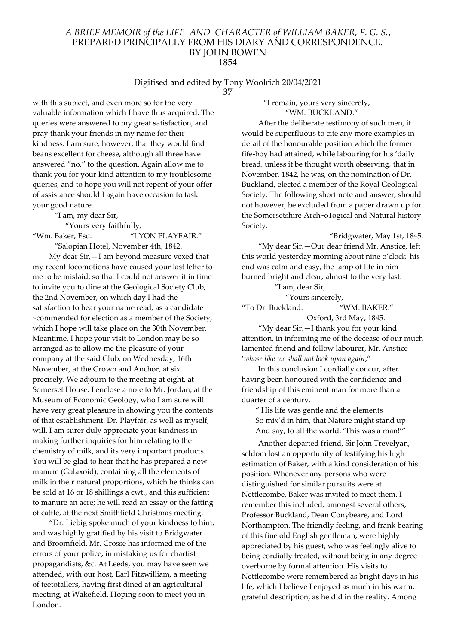# Digitised and edited by Tony Woolrich 20/04/2021

37

with this subject, and even more so for the very valuable information which I have thus acquired. The queries were answered to my great satisfaction, and pray thank your friends in my name for their kindness. I am sure, however, that they would find beans excellent for cheese, although all three have answered "no," to the question. Again allow me to thank you for your kind attention to my troublesome queries, and to hope you will not repent of your offer of assistance should I again have occasion to task your good nature.

"I am, my dear Sir,

"Yours very faithfully,

"Wm. Baker, Esq. "LYON PLAYFAIR." "Salopian Hotel, November 4th, 1842.

My dear Sir,—I am beyond measure vexed that my recent locomotions have caused your last letter to me to be mislaid, so that I could not answer it in time to invite you to dine at the Geological Society Club, the 2nd November, on which day I had the satisfaction to hear your name read, as a candidate ~commended for election as a member of the Society, which I hope will take place on the 30th November. Meantime, I hope your visit to London may be so arranged as to allow me the pleasure of your company at the said Club, on Wednesday, 16th November, at the Crown and Anchor, at six precisely. We adjourn to the meeting at eight, at Somerset House. I enclose a note to Mr. Jordan, at the Museum of Economic Geology, who I am sure will have very great pleasure in showing you the contents of that establishment. Dr. Playfair, as well as myself, will, I am surer duly appreciate your kindness in making further inquiries for him relating to the chemistry of milk, and its very important products. You will be glad to hear that he has prepared a new manure (Galaxoid), containing all the elements of milk in their natural proportions, which he thinks can be sold at 16 or 18 shillings a cwt., and this sufficient to manure an acre; he will read an essay or the fatting of cattle, at the next Smithfield Christmas meeting.

"Dr. Liebig spoke much of your kindness to him, and was highly gratified by his visit to Bridgwater and Broomfield. Mr. Crosse has informed me of the errors of your police, in mistaking us for chartist propagandists, &c. At Leeds, you may have seen we attended, with our host, Earl Fitzwilliam, a meeting of teetotallers, having first dined at an agricultural meeting, at Wakefield. Hoping soon to meet you in London.

"I remain, yours very sincerely,

"WM. BUCKLAND." After the deliberate testimony of such men, it would be superfluous to cite any more examples in

detail of the honourable position which the former fife-boy had attained, while labouring for his 'daily bread, unless it be thought worth observing, that in November, 1842, he was, on the nomination of Dr. Buckland, elected a member of the Royal Geological Society. The following short note and answer, should not however, be excluded from a paper drawn up for the Somersetshire Arch~o1ogical and Natural history Society.

"Bridgwater, May 1st, 1845. "My dear Sir,—Our dear friend Mr. Anstice, left this world yesterday morning about nine o'clock. his end was calm and easy, the lamp of life in him burned bright and clear, almost to the very last.

"I am, dear Sir,

"Yours sincerely,

"To Dr. Buckland. "WM. BAKER."

Oxford, 3rd May, 1845.

"My dear Sir,—I thank you for your kind attention, in informing me of the decease of our much lamented friend and fellow labourer, Mr. Anstice 'whose like we shall not look upon again,"

In this conclusion I cordially concur, after having been honoured with the confidence and friendship of this eminent man for more than a quarter of a century.

" His life was gentle and the elements So mix'd in him, that Nature might stand up And say, to all the world, 'This was a man!'"

Another departed friend, Sir John Trevelyan, seldom lost an opportunity of testifying his high estimation of Baker, with a kind consideration of his position. Whenever any persons who were distinguished for similar pursuits were at Nettlecombe, Baker was invited to meet them. I remember this included, amongst several others, Professor Buckland, Dean Conybeare, and Lord Northampton. The friendly feeling, and frank bearing of this fine old English gentleman, were highly appreciated by his guest, who was feelingly alive to being cordially treated, without being in any degree overborne by formal attention. His visits to Nettlecombe were remembered as bright days in his life, which I believe I enjoyed as much in his warm, grateful description, as he did in the reality. Among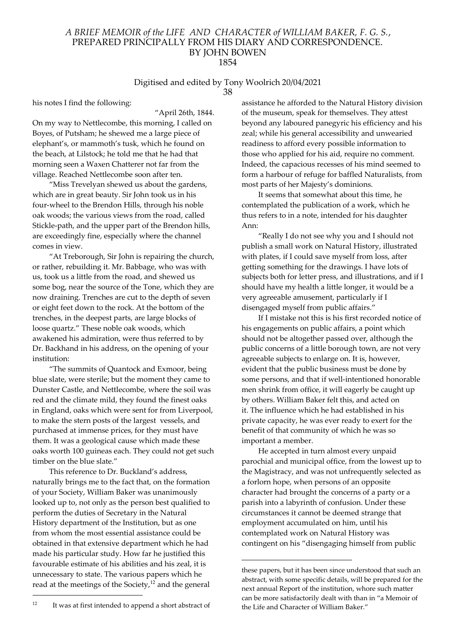#### Digitised and edited by Tony Woolrich 20/04/2021 38

his notes I find the following:

"April 26th, 1844.

On my way to Nettlecombe, this morning, I called on Boyes, of Putsham; he shewed me a large piece of elephant's, or mammoth's tusk, which he found on the beach, at Lilstock; he told me that he had that morning seen a Waxen Chatterer not far from the village. Reached Nettlecombe soon after ten.

"Miss Trevelyan shewed us about the gardens, which are in great beauty. Sir John took us in his four-wheel to the Brendon Hills, through his noble oak woods; the various views from the road, called Stickle-path, and the upper part of the Brendon hills, are exceedingly fine, especially where the channel comes in view.

"At Treborough, Sir John is repairing the church, or rather, rebuilding it. Mr. Babbage, who was with us, took us a little from the road, and shewed us some bog, near the source of the Tone, which they are now draining. Trenches are cut to the depth of seven or eight feet down to the rock. At the bottom of the trenches, in the deepest parts, are large blocks of loose quartz." These noble oak woods, which awakened his admiration, were thus referred to by Dr. Backhand in his address, on the opening of your institution:

"The summits of Quantock and Exmoor, being blue slate, were sterile; but the moment they came to Dunster Castle, and Nettlecombe, where the soil was red and the climate mild, they found the finest oaks in England, oaks which were sent for from Liverpool, to make the stern posts of the largest vessels, and purchased at immense prices, for they must have them. It was a geological cause which made these oaks worth 100 guineas each. They could not get such timber on the blue slate."

This reference to Dr. Buckland's address, naturally brings me to the fact that, on the formation of your Society, William Baker was unanimously looked up to, not only as the person best qualified to perform the duties of Secretary in the Natural History department of the Institution, but as one from whom the most essential assistance could be obtained in that extensive department which he had made his particular study. How far he justified this favourable estimate of his abilities and his zeal, it is unnecessary to state. The various papers which he read at the meetings of the Society,<sup>12</sup> and the general

assistance he afforded to the Natural History division of the museum, speak for themselves. They attest beyond any laboured panegyric his efficiency and his zeal; while his general accessibility and unwearied readiness to afford every possible information to those who applied for his aid, require no comment. Indeed, the capacious recesses of his mind seemed to form a harbour of refuge for baffled Naturalists, from most parts of her Majesty's dominions.

It seems that somewhat about this time, he contemplated the publication of a work, which he thus refers to in a note, intended for his daughter Ann:

"Really I do not see why you and I should not publish a small work on Natural History, illustrated with plates, if I could save myself from loss, after getting something for the drawings. I have lots of subjects both for letter press, and illustrations, and if I should have my health a little longer, it would be a very agreeable amusement, particularly if I disengaged myself from public affairs."

If I mistake not this is his first recorded notice of his engagements on public affairs, a point which should not be altogether passed over, although the public concerns of a little borough town, are not very agreeable subjects to enlarge on. It is, however, evident that the public business must be done by some persons, and that if well-intentioned honorable men shrink from office, it will eagerly be caught up by others. William Baker felt this, and acted on it. The influence which he had established in his private capacity, he was ever ready to exert for the benefit of that community of which he was so important a member.

He accepted in turn almost every unpaid parochial and municipal office, from the lowest up to the Magistracy, and was not unfrequently selected as a forlorn hope, when persons of an opposite character had brought the concerns of a party or a parish into a labyrinth of confusion. Under these circumstances it cannot be deemed strange that employment accumulated on him, until his contemplated work on Natural History was contingent on his "disengaging himself from public

these papers, but it has been since understood that such an abstract, with some specific details, will be prepared for the next annual Report of the institution, whore such matter can be more satisfactorily dealt with than in "a Memoir of the Life and Character of William Baker."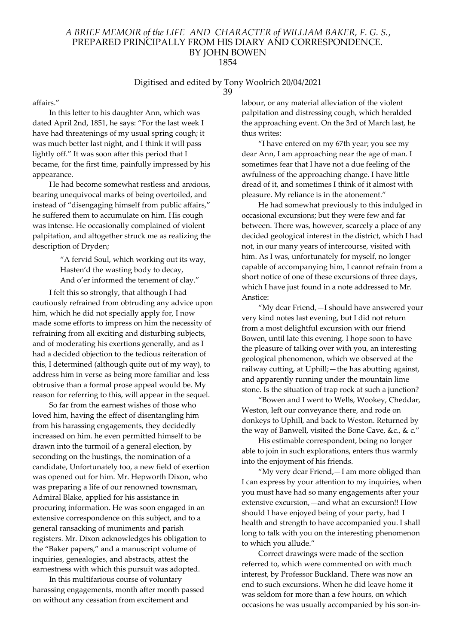#### Digitised and edited by Tony Woolrich 20/04/2021 39

affairs."

In this letter to his daughter Ann, which was dated April 2nd, 1851, he says: "For the last week I have had threatenings of my usual spring cough; it was much better last night, and I think it will pass lightly off." It was soon after this period that I became, for the first time, painfully impressed by his appearance.

He had become somewhat restless and anxious, bearing unequivocal marks of being overtoiled, and instead of "disengaging himself from public affairs," he suffered them to accumulate on him. His cough was intense. He occasionally complained of violent palpitation, and altogether struck me as realizing the description of Dryden;

> "A fervid Soul, which working out its way, Hasten'd the wasting body to decay, And o'er informed the tenement of clay."

I felt this so strongly, that although I had cautiously refrained from obtruding any advice upon him, which he did not specially apply for, I now made some efforts to impress on him the necessity of refraining from all exciting and disturbing subjects, and of moderating his exertions generally, and as I had a decided objection to the tedious reiteration of this, I determined (although quite out of my way), to address him in verse as being more familiar and less obtrusive than a formal prose appeal would be. My reason for referring to this, will appear in the sequel.

So far from the earnest wishes of those who loved him, having the effect of disentangling him from his harassing engagements, they decidedly increased on him. he even permitted himself to be drawn into the turmoil of a general election, by seconding on the hustings, the nomination of a candidate, Unfortunately too, a new field of exertion was opened out for him. Mr. Hepworth Dixon, who was preparing a life of our renowned townsman, Admiral Blake, applied for his assistance in procuring information. He was soon engaged in an extensive correspondence on this subject, and to a general ransacking of muniments and parish registers. Mr. Dixon acknowledges his obligation to the "Baker papers," and a manuscript volume of inquiries, genealogies, and abstracts, attest the earnestness with which this pursuit was adopted.

In this multifarious course of voluntary harassing engagements, month after month passed on without any cessation from excitement and

labour, or any material alleviation of the violent palpitation and distressing cough, which heralded the approaching event. On the 3rd of March last, he thus writes:

"I have entered on my 67th year; you see my dear Ann, I am approaching near the age of man. I sometimes fear that I have not a due feeling of the awfulness of the approaching change. I have little dread of it, and sometimes I think of it almost with pleasure. My reliance is in the atonement."

He had somewhat previously to this indulged in occasional excursions; but they were few and far between. There was, however, scarcely a place of any decided geological interest in the district, which I had not, in our many years of intercourse, visited with him. As I was, unfortunately for myself, no longer capable of accompanying him, I cannot refrain from a short notice of one of these excursions of three days, which I have just found in a note addressed to Mr. Anstice:

"My dear Friend,—I should have answered your very kind notes last evening, but I did not return from a most delightful excursion with our friend Bowen, until late this evening. I hope soon to have the pleasure of talking over with you, an interesting geological phenomenon, which we observed at the railway cutting, at Uphill;—the has abutting against, and apparently running under the mountain lime stone. Is the situation of trap rock at such a junction?

"Bowen and I went to Wells, Wookey, Cheddar, Weston, left our conveyance there, and rode on donkeys to Uphill, and back to Weston. Returned by the way of Banwell, visited the Bone Cave, &c., & c."

His estimable correspondent, being no longer able to join in such explorations, enters thus warmly into the enjoyment of his friends.

"My very dear Friend,—I am more obliged than I can express by your attention to my inquiries, when you must have had so many engagements after your extensive excursion,—and what an excursion!! How should I have enjoyed being of your party, had I health and strength to have accompanied you. I shall long to talk with you on the interesting phenomenon to which you allude."

Correct drawings were made of the section referred to, which were commented on with much interest, by Professor Buckland. There was now an end to such excursions. When he did leave home it was seldom for more than a few hours, on which occasions he was usually accompanied by his son-in-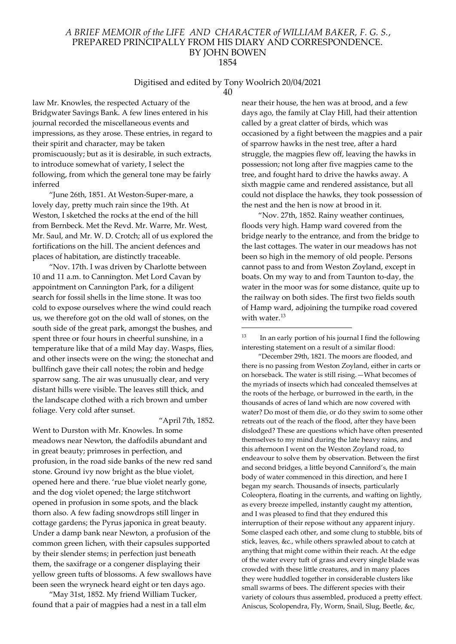#### Digitised and edited by Tony Woolrich 20/04/2021 40

law Mr. Knowles, the respected Actuary of the Bridgwater Savings Bank. A few lines entered in his journal recorded the miscellaneous events and impressions, as they arose. These entries, in regard to their spirit and character, may be taken promiscuously; but as it is desirable, in such extracts, to introduce somewhat of variety, I select the following, from which the general tone may be fairly inferred

"June 26th, 1851. At Weston-Super-mare, a lovely day, pretty much rain since the 19th. At Weston, I sketched the rocks at the end of the hill from Bernbeck. Met the Revd. Mr. Warre, Mr. West, Mr. Saul, and Mr. W. D. Crotch; all of us explored the fortifications on the hill. The ancient defences and places of habitation, are distinctly traceable.

"Nov. 17th. I was driven by Charlotte between 10 and 11 a.m. to Cannington. Met Lord Cavan by appointment on Cannington Park, for a diligent search for fossil shells in the lime stone. It was too cold to expose ourselves where the wind could reach us, we therefore got on the old wall of stones, on the south side of the great park, amongst the bushes, and spent three or four hours in cheerful sunshine, in a temperature like that of a mild May day. Wasps, flies, and other insects were on the wing; the stonechat and bullfinch gave their call notes; the robin and hedge sparrow sang. The air was unusually clear, and very distant hills were visible. The leaves still thick, and the landscape clothed with a rich brown and umber foliage. Very cold after sunset.

"April 7th, 1852.

Went to Durston with Mr. Knowles. In some meadows near Newton, the daffodils abundant and in great beauty; primroses in perfection, and profusion, in the road side banks of the new red sand stone. Ground ivy now bright as the blue violet, opened here and there. 'rue blue violet nearly gone, and the dog violet opened; the large stitchwort opened in profusion in some spots, and the black thorn also. A few fading snowdrops still linger in cottage gardens; the Pyrus japonica in great beauty. Under a damp bank near Newton, a profusion of the common green lichen, with their capsules supported by their slender stems; in perfection just beneath them, the saxifrage or a congener displaying their yellow green tufts of blossoms. A few swallows have been seen the wryneck heard eight or ten days ago.

"May 31st, 1852. My friend William Tucker, found that a pair of magpies had a nest in a tall elm near their house, the hen was at brood, and a few days ago, the family at Clay Hill, had their attention called by a great clatter of birds, which was occasioned by a fight between the magpies and a pair of sparrow hawks in the nest tree, after a hard struggle, the magpies flew off, leaving the hawks in possession; not long after five magpies came to the tree, and fought hard to drive the hawks away. A sixth magpie came and rendered assistance, but all could not displace the hawks, they took possession of the nest and the hen is now at brood in it.

"Nov. 27th, 1852. Rainy weather continues, floods very high. Hamp ward covered from the bridge nearly to the entrance, and from the bridge to the last cottages. The water in our meadows has not been so high in the memory of old people. Persons cannot pass to and from Weston Zoyland, except in boats. On my way to and from Taunton to-day, the water in the moor was for some distance, quite up to the railway on both sides. The first two fields south of Hamp ward, adjoining the turnpike road covered with water.<sup>13</sup>

"December 29th, 1821. The moors are flooded, and there is no passing from Weston Zoyland, either in carts or on horseback. The water is still rising.—What becomes of the myriads of insects which had concealed themselves at the roots of the herbage, or burrowed in the earth, in the thousands of acres of land which are now covered with water? Do most of them die, or do they swim to some other retreats out of the reach of the flood, after they have been dislodged? These are questions which have often presented themselves to my mind during the late heavy rains, and this afternoon I went on the Weston Zoyland road, to endeavour to solve them by observation. Between the first and second bridges, a little beyond Canniford's, the main body of water commenced in this direction, and here I began my search. Thousands of insects, particularly Coleoptera, floating in the currents, and wafting on lightly, as every breeze impelled, instantly caught my attention, and I was pleased to find that they endured this interruption of their repose without any apparent injury. Some clasped each other, and some clung to stubble, bits of stick, leaves, &c., while others sprawled about to catch at anything that might come within their reach. At the edge of the water every tuft of grass and every single blade was crowded with these little creatures, and in many places they were huddled together in considerable clusters like small swarms of bees. The different species with their variety of colours thus assembled, produced a pretty effect. Aniscus, Scolopendra, Fly, Worm, Snail, Slug, Beetle, &c,

<sup>13</sup> In an early portion of his journal I find the following interesting statement on a result of a similar flood: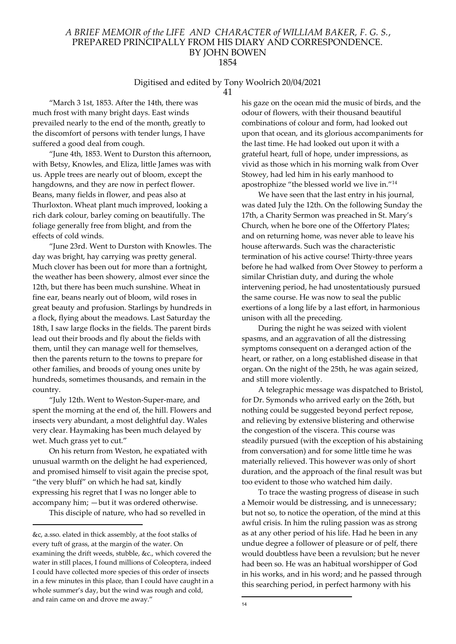# Digitised and edited by Tony Woolrich 20/04/2021

41

"March 3 1st, 1853. After the 14th, there was much frost with many bright days. East winds prevailed nearly to the end of the month, greatly to the discomfort of persons with tender lungs, I have suffered a good deal from cough.

"June 4th, 1853. Went to Durston this afternoon, with Betsy, Knowles, and Eliza, little James was with us. Apple trees are nearly out of bloom, except the hangdowns, and they are now in perfect flower. Beans, many fields in flower, and peas also at Thurloxton. Wheat plant much improved, looking a rich dark colour, barley coming on beautifully. The foliage generally free from blight, and from the effects of cold winds.

"June 23rd. Went to Durston with Knowles. The day was bright, hay carrying was pretty general. Much clover has been out for more than a fortnight, the weather has been showery, almost ever since the 12th, but there has been much sunshine. Wheat in fine ear, beans nearly out of bloom, wild roses in great beauty and profusion. Starlings by hundreds in a flock, flying about the meadows. Last Saturday the 18th, I saw large flocks in the fields. The parent birds lead out their broods and fly about the fields with them, until they can manage well for themselves, then the parents return to the towns to prepare for other families, and broods of young ones unite by hundreds, sometimes thousands, and remain in the country.

"July 12th. Went to Weston-Super-mare, and spent the morning at the end of, the hill. Flowers and insects very abundant, a most delightful day. Wales very clear. Haymaking has been much delayed by wet. Much grass yet to cut."

On his return from Weston, he expatiated with unusual warmth on the delight he had experienced, and promised himself to visit again the precise spot, "the very bluff" on which he had sat, kindly expressing his regret that I was no longer able to accompany him; —but it was ordered otherwise.

This disciple of nature, who had so revelled in

his gaze on the ocean mid the music of birds, and the odour of flowers, with their thousand beautiful combinations of colour and form, had looked out upon that ocean, and its glorious accompaniments for the last time. He had looked out upon it with a grateful heart, full of hope, under impressions, as vivid as those which in his morning walk from Over Stowey, had led him in his early manhood to apostrophize "the blessed world we live in."<sup>14</sup>

We have seen that the last entry in his journal, was dated July the 12th. On the following Sunday the 17th, a Charity Sermon was preached in St. Mary's Church, when he bore one of the Offertory Plates; and on returning home, was never able to leave his house afterwards. Such was the characteristic termination of his active course! Thirty-three years before he had walked from Over Stowey to perform a similar Christian duty, and during the whole intervening period, he had unostentatiously pursued the same course. He was now to seal the public exertions of a long life by a last effort, in harmonious unison with all the preceding.

During the night he was seized with violent spasms, and an aggravation of all the distressing symptoms consequent on a deranged action of the heart, or rather, on a long established disease in that organ. On the night of the 25th, he was again seized, and still more violently.

A telegraphic message was dispatched to Bristol, for Dr. Symonds who arrived early on the 26th, but nothing could be suggested beyond perfect repose, and relieving by extensive blistering and otherwise the congestion of the viscera. This course was steadily pursued (with the exception of his abstaining from conversation) and for some little time he was materially relieved. This however was only of short duration, and the approach of the final result was but too evident to those who watched him daily.

To trace the wasting progress of disease in such a Memoir would be distressing, and is unnecessary; but not so, to notice the operation, of the mind at this awful crisis. In him the ruling passion was as strong as at any other period of his life. Had he been in any undue degree a follower of pleasure or of pelf, there would doubtless have been a revulsion; but he never had been so. He was an habitual worshipper of God in his works, and in his word; and he passed through this searching period, in perfect harmony with his

<sup>&</sup>amp;c, a.sso. elated in thick assembly, at the foot stalks of every tuft of grass, at the margin of the water. On examining the drift weeds, stubble, &c., which covered the water in still places, I found millions of Coleoptera, indeed I could have collected more species of this order of insects in a few minutes in this place, than I could have caught in a whole summer's day, but the wind was rough and cold, and rain came on and drove me away."

<sup>14</sup>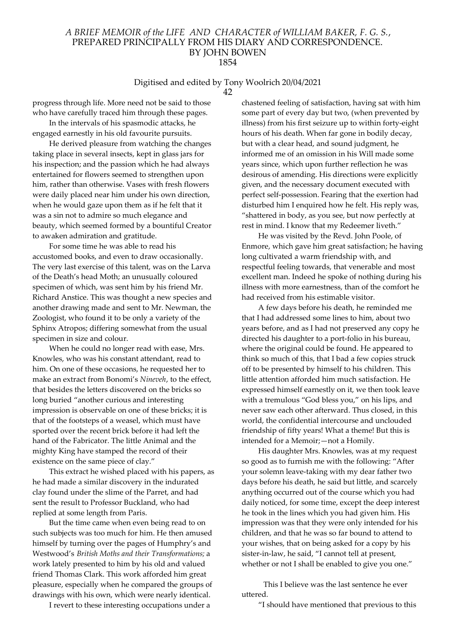# Digitised and edited by Tony Woolrich 20/04/2021

42

progress through life. More need not be said to those who have carefully traced him through these pages.

In the intervals of his spasmodic attacks, he engaged earnestly in his old favourite pursuits.

He derived pleasure from watching the changes taking place in several insects, kept in glass jars for his inspection; and the passion which he had always entertained for flowers seemed to strengthen upon him, rather than otherwise. Vases with fresh flowers were daily placed near him under his own direction, when he would gaze upon them as if he felt that it was a sin not to admire so much elegance and beauty, which seemed formed by a bountiful Creator to awaken admiration and gratitude.

For some time he was able to read his accustomed books, and even to draw occasionally. The very last exercise of this talent, was on the Larva of the Death's head Moth; an unusually coloured specimen of which, was sent him by his friend Mr. Richard Anstice. This was thought a new species and another drawing made and sent to Mr. Newman, the Zoologist, who found it to be only a variety of the Sphinx Atropos; differing somewhat from the usual specimen in size and colour.

When he could no longer read with ease, Mrs. Knowles, who was his constant attendant, read to him. On one of these occasions, he requested her to make an extract from Bonomi's Nineveh, to the effect, that besides the letters discovered on the bricks so long buried "another curious and interesting impression is observable on one of these bricks; it is that of the footsteps of a weasel, which must have sported over the recent brick before it had left the hand of the Fabricator. The little Animal and the mighty King have stamped the record of their existence on the same piece of clay."

This extract he wished placed with his papers, as he had made a similar discovery in the indurated clay found under the slime of the Parret, and had sent the result to Professor Buckland, who had replied at some length from Paris.

But the time came when even being read to on such subjects was too much for him. He then amused himself by turning over the pages of Humphry's and Westwood's British Moths and their Transformations; a work lately presented to him by his old and valued friend Thomas Clark. This work afforded him great pleasure, especially when he compared the groups of drawings with his own, which were nearly identical.

I revert to these interesting occupations under a

chastened feeling of satisfaction, having sat with him some part of every day but two, (when prevented by illness) from his first seizure up to within forty-eight hours of his death. When far gone in bodily decay, but with a clear head, and sound judgment, he informed me of an omission in his Will made some years since, which upon further reflection he was desirous of amending. His directions were explicitly given, and the necessary document executed with perfect self-possession. Fearing that the exertion had disturbed him I enquired how he felt. His reply was, "shattered in body, as you see, but now perfectly at rest in mind. I know that my Redeemer liveth."

He was visited by the Revd. John Poole, of Enmore, which gave him great satisfaction; he having long cultivated a warm friendship with, and respectful feeling towards, that venerable and most excellent man. Indeed he spoke of nothing during his illness with more earnestness, than of the comfort he had received from his estimable visitor.

A few days before his death, he reminded me that I had addressed some lines to him, about two years before, and as I had not preserved any copy he directed his daughter to a port-folio in his bureau, where the original could be found. He appeared to think so much of this, that I bad a few copies struck off to be presented by himself to his children. This little attention afforded him much satisfaction. He expressed himself earnestly on it, we then took leave with a tremulous "God bless you," on his lips, and never saw each other afterward. Thus closed, in this world, the confidential intercourse and unclouded friendship of fifty years! What a theme! But this is intended for a Memoir;—not a Homily.

His daughter Mrs. Knowles, was at my request so good as to furnish me with the following: "After your solemn leave-taking with my dear father two days before his death, he said but little, and scarcely anything occurred out of the course which you had daily noticed, for some time, except the deep interest he took in the lines which you had given him. His impression was that they were only intended for his children, and that he was so far bound to attend to your wishes, that on being asked for a copy by his sister-in-law, he said, "I cannot tell at present, whether or not I shall be enabled to give you one."

This I believe was the last sentence he ever uttered.

"I should have mentioned that previous to this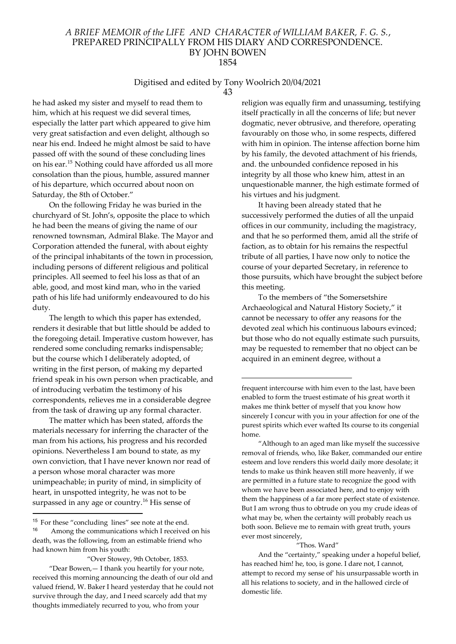# Digitised and edited by Tony Woolrich 20/04/2021

43

he had asked my sister and myself to read them to him, which at his request we did several times, especially the latter part which appeared to give him very great satisfaction and even delight, although so near his end. Indeed he might almost be said to have passed off with the sound of these concluding lines on his ear.<sup>15</sup> Nothing could have afforded us all more consolation than the pious, humble, assured manner of his departure, which occurred about noon on Saturday, the 8th of October."

On the following Friday he was buried in the churchyard of St. John's, opposite the place to which he had been the means of giving the name of our renowned townsman, Admiral Blake. The Mayor and Corporation attended the funeral, with about eighty of the principal inhabitants of the town in procession, including persons of different religious and political principles. All seemed to feel his loss as that of an able, good, and most kind man, who in the varied path of his life had uniformly endeavoured to do his duty.

The length to which this paper has extended, renders it desirable that but little should be added to the foregoing detail. Imperative custom however, has rendered some concluding remarks indispensable; but the course which I deliberately adopted, of writing in the first person, of making my departed friend speak in his own person when practicable, and of introducing verbatim the testimony of his correspondents, relieves me in a considerable degree from the task of drawing up any formal character.

The matter which has been stated, affords the materials necessary for inferring the character of the man from his actions, his progress and his recorded opinions. Nevertheless I am bound to state, as my own conviction, that I have never known nor read of a person whose moral character was more unimpeachable; in purity of mind, in simplicity of heart, in unspotted integrity, he was not to be surpassed in any age or country.<sup>16</sup> His sense of

"Over Stowey, 9th October, 1853. "Dear Bowen,— I thank you heartily for your note, received this morning announcing the death of our old and valued friend, W. Baker I heard yesterday that he could not survive through the day, and I need scarcely add that my thoughts immediately recurred to you, who from your

religion was equally firm and unassuming, testifying itself practically in all the concerns of life; but never dogmatic, never obtrusive, and therefore, operating favourably on those who, in some respects, differed with him in opinion. The intense affection borne him by his family, the devoted attachment of his friends, and. the unbounded confidence reposed in his integrity by all those who knew him, attest in an unquestionable manner, the high estimate formed of his virtues and his judgment.

It having been already stated that he successively performed the duties of all the unpaid offices in our community, including the magistracy, and that he so performed them, amid all the strife of faction, as to obtain for his remains the respectful tribute of all parties, I have now only to notice the course of your departed Secretary, in reference to those pursuits, which have brought the subject before this meeting.

To the members of "the Somersetshire Archaeological and Natural History Society," it cannot be necessary to offer any reasons for the devoted zeal which his continuous labours evinced; but those who do not equally estimate such pursuits, may be requested to remember that no object can be acquired in an eminent degree, without a

"Although to an aged man like myself the successive removal of friends, who, like Baker, commanded our entire esteem and love renders this world daily more desolate; it tends to make us think heaven still more heavenly, if we are permitted in a future state to recognize the good with whom we have been associated here, and to enjoy with them the happiness of a far more perfect state of existence. But I am wrong thus to obtrude on you my crude ideas of what may be, when the certainty will probably reach us both soon. Believe me to remain with great truth, yours ever most sincerely,

#### "Thos. Ward"

And the "certainty," speaking under a hopeful belief, has reached him! he, too, is gone. I dare not, I cannot, attempt to record my sense of' his unsurpassable worth in all his relations to society, and in the hallowed circle of domestic life.

<sup>&</sup>lt;sup>15</sup> For these "concluding lines" see note at the end.<br> $\frac{16}{16}$  Among the communications which I received Among the communications which I received on his death, was the following, from an estimable friend who had known him from his youth:

frequent intercourse with him even to the last, have been enabled to form the truest estimate of his great worth it makes me think better of myself that you know how sincerely I concur with you in your affection for one of the purest spirits which ever wafted Its course to its congenial home.